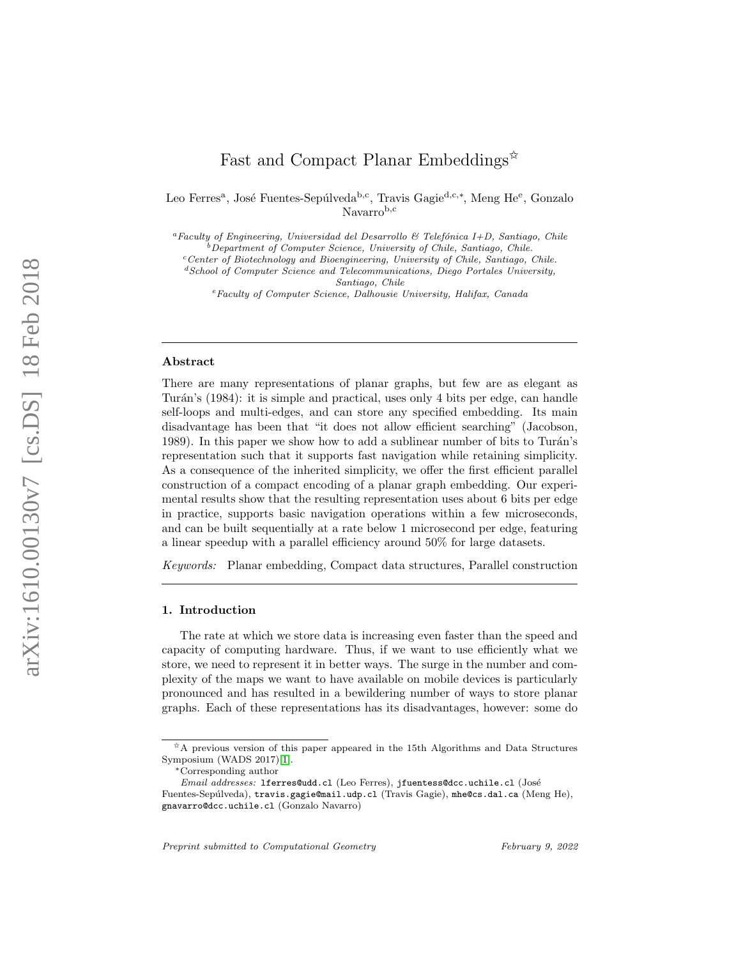# Fast and Compact Planar Embeddings<sup>\*\*</sup>

Leo Ferres<sup>a</sup>, José Fuentes-Sepúlveda<sup>b, c</sup>, Travis Gagie<sup>d, c,\*</sup>, Meng He<sup>e</sup>, Gonzalo Navarrob,c

<sup>a</sup>Faculty of Engineering, Universidad del Desarrollo & Telefónica I+D, Santiago, Chile  $\overline{b}$  Department of Computer Science, University of Chile, Santiago, Chile.

 $c$ <sup>c</sup>Center of Biotechnology and Bioengineering, University of Chile, Santiago, Chile.

<sup>e</sup>Faculty of Computer Science, Dalhousie University, Halifax, Canada

#### Abstract

There are many representations of planar graphs, but few are as elegant as Turán's (1984): it is simple and practical, uses only 4 bits per edge, can handle self-loops and multi-edges, and can store any specified embedding. Its main disadvantage has been that "it does not allow efficient searching" (Jacobson, 1989). In this paper we show how to add a sublinear number of bits to Turán's representation such that it supports fast navigation while retaining simplicity. As a consequence of the inherited simplicity, we offer the first efficient parallel construction of a compact encoding of a planar graph embedding. Our experimental results show that the resulting representation uses about 6 bits per edge in practice, supports basic navigation operations within a few microseconds, and can be built sequentially at a rate below 1 microsecond per edge, featuring a linear speedup with a parallel efficiency around 50% for large datasets.

Keywords: Planar embedding, Compact data structures, Parallel construction

# 1. Introduction

The rate at which we store data is increasing even faster than the speed and capacity of computing hardware. Thus, if we want to use efficiently what we store, we need to represent it in better ways. The surge in the number and complexity of the maps we want to have available on mobile devices is particularly pronounced and has resulted in a bewildering number of ways to store planar graphs. Each of these representations has its disadvantages, however: some do

 ${}^{d}S$ chool of Computer Science and Telecommunications, Diego Portales University, Santiago, Chile

 $\hat{A}$  previous version of this paper appeared in the 15th Algorithms and Data Structures Symposium (WADS 2017)[\[1\]](#page-31-0).

<sup>∗</sup>Corresponding author

Email addresses: lferres@udd.cl (Leo Ferres), jfuentess@dcc.uchile.cl (José

Fuentes-Sepúlveda), travis.gagie@mail.udp.cl (Travis Gagie), mhe@cs.dal.ca (Meng He), gnavarro@dcc.uchile.cl (Gonzalo Navarro)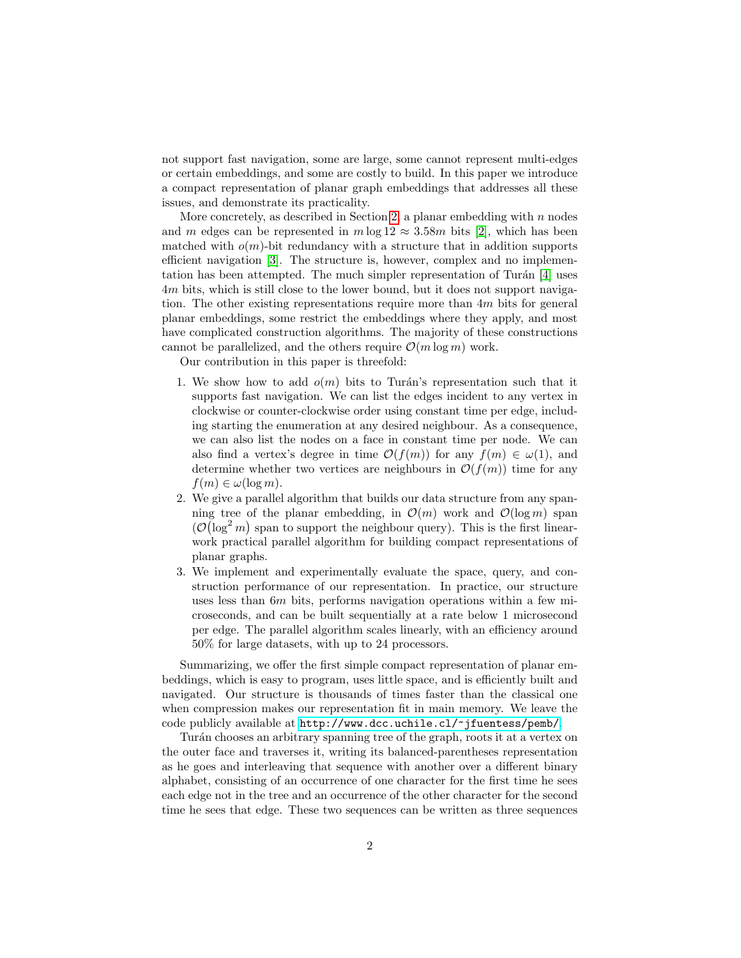not support fast navigation, some are large, some cannot represent multi-edges or certain embeddings, and some are costly to build. In this paper we introduce a compact representation of planar graph embeddings that addresses all these issues, and demonstrate its practicality.

More concretely, as described in Section [2,](#page-2-0) a planar embedding with  $n$  nodes and m edges can be represented in  $m \log 12 \approx 3.58m$  bits [\[2\]](#page-31-1), which has been matched with  $o(m)$ -bit redundancy with a structure that in addition supports efficient navigation [\[3\]](#page-31-2). The structure is, however, complex and no implementation has been attempted. The much simpler representation of Turán  $[4]$  uses 4m bits, which is still close to the lower bound, but it does not support navigation. The other existing representations require more than  $4m$  bits for general planar embeddings, some restrict the embeddings where they apply, and most have complicated construction algorithms. The majority of these constructions cannot be parallelized, and the others require  $\mathcal{O}(m \log m)$  work.

Our contribution in this paper is threefold:

- 1. We show how to add  $o(m)$  bits to Turán's representation such that it supports fast navigation. We can list the edges incident to any vertex in clockwise or counter-clockwise order using constant time per edge, including starting the enumeration at any desired neighbour. As a consequence, we can also list the nodes on a face in constant time per node. We can also find a vertex's degree in time  $\mathcal{O}(f(m))$  for any  $f(m) \in \omega(1)$ , and determine whether two vertices are neighbours in  $\mathcal{O}(f(m))$  time for any  $f(m) \in \omega(\log m)$ .
- 2. We give a parallel algorithm that builds our data structure from any spanning tree of the planar embedding, in  $\mathcal{O}(m)$  work and  $\mathcal{O}(\log m)$  span  $(\mathcal{O}(\log^2 m)$  span to support the neighbour query). This is the first linearwork practical parallel algorithm for building compact representations of planar graphs.
- 3. We implement and experimentally evaluate the space, query, and construction performance of our representation. In practice, our structure uses less than 6m bits, performs navigation operations within a few microseconds, and can be built sequentially at a rate below 1 microsecond per edge. The parallel algorithm scales linearly, with an efficiency around 50% for large datasets, with up to 24 processors.

Summarizing, we offer the first simple compact representation of planar embeddings, which is easy to program, uses little space, and is efficiently built and navigated. Our structure is thousands of times faster than the classical one when compression makes our representation fit in main memory. We leave the code publicly available at <http://www.dcc.uchile.cl/~jfuentess/pemb/>.

Turán chooses an arbitrary spanning tree of the graph, roots it at a vertex on the outer face and traverses it, writing its balanced-parentheses representation as he goes and interleaving that sequence with another over a different binary alphabet, consisting of an occurrence of one character for the first time he sees each edge not in the tree and an occurrence of the other character for the second time he sees that edge. These two sequences can be written as three sequences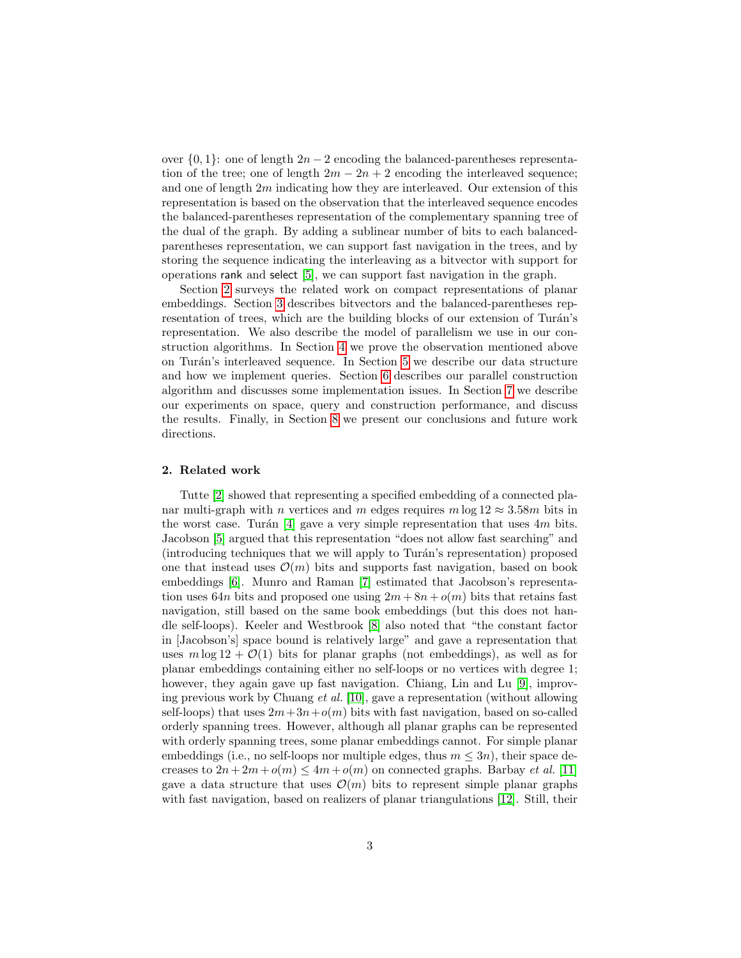over  $\{0, 1\}$ : one of length  $2n - 2$  encoding the balanced-parentheses representation of the tree; one of length  $2m - 2n + 2$  encoding the interleaved sequence; and one of length 2m indicating how they are interleaved. Our extension of this representation is based on the observation that the interleaved sequence encodes the balanced-parentheses representation of the complementary spanning tree of the dual of the graph. By adding a sublinear number of bits to each balancedparentheses representation, we can support fast navigation in the trees, and by storing the sequence indicating the interleaving as a bitvector with support for operations rank and select [\[5\]](#page-31-4), we can support fast navigation in the graph.

Section [2](#page-2-0) surveys the related work on compact representations of planar embeddings. Section [3](#page-3-0) describes bitvectors and the balanced-parentheses representation of trees, which are the building blocks of our extension of Turán's representation. We also describe the model of parallelism we use in our construction algorithms. In Section [4](#page-5-0) we prove the observation mentioned above on Turán's interleaved sequence. In Section [5](#page-7-0) we describe our data structure and how we implement queries. Section [6](#page-15-0) describes our parallel construction algorithm and discusses some implementation issues. In Section [7](#page-22-0) we describe our experiments on space, query and construction performance, and discuss the results. Finally, in Section [8](#page-29-0) we present our conclusions and future work directions.

#### <span id="page-2-0"></span>2. Related work

Tutte [\[2\]](#page-31-1) showed that representing a specified embedding of a connected planar multi-graph with n vertices and m edges requires  $m \log 12 \approx 3.58m$  bits in the worst case. Turán [\[4\]](#page-31-3) gave a very simple representation that uses  $4m$  bits. Jacobson [\[5\]](#page-31-4) argued that this representation "does not allow fast searching" and (introducing techniques that we will apply to Turán's representation) proposed one that instead uses  $\mathcal{O}(m)$  bits and supports fast navigation, based on book embeddings [\[6\]](#page-31-5). Munro and Raman [\[7\]](#page-31-6) estimated that Jacobson's representation uses 64n bits and proposed one using  $2m + 8n + o(m)$  bits that retains fast navigation, still based on the same book embeddings (but this does not handle self-loops). Keeler and Westbrook [\[8\]](#page-31-7) also noted that "the constant factor in [Jacobson's] space bound is relatively large" and gave a representation that uses  $m \log 12 + \mathcal{O}(1)$  bits for planar graphs (not embeddings), as well as for planar embeddings containing either no self-loops or no vertices with degree 1; however, they again gave up fast navigation. Chiang, Lin and Lu [\[9\]](#page-31-8), improving previous work by Chuang et al. [\[10\]](#page-31-9), gave a representation (without allowing self-loops) that uses  $2m+3n+o(m)$  bits with fast navigation, based on so-called orderly spanning trees. However, although all planar graphs can be represented with orderly spanning trees, some planar embeddings cannot. For simple planar embeddings (i.e., no self-loops nor multiple edges, thus  $m \leq 3n$ ), their space decreases to  $2n+2m+o(m) \leq 4m+o(m)$  on connected graphs. Barbay *et al.* [\[11\]](#page-31-10) gave a data structure that uses  $\mathcal{O}(m)$  bits to represent simple planar graphs with fast navigation, based on realizers of planar triangulations [\[12\]](#page-32-0). Still, their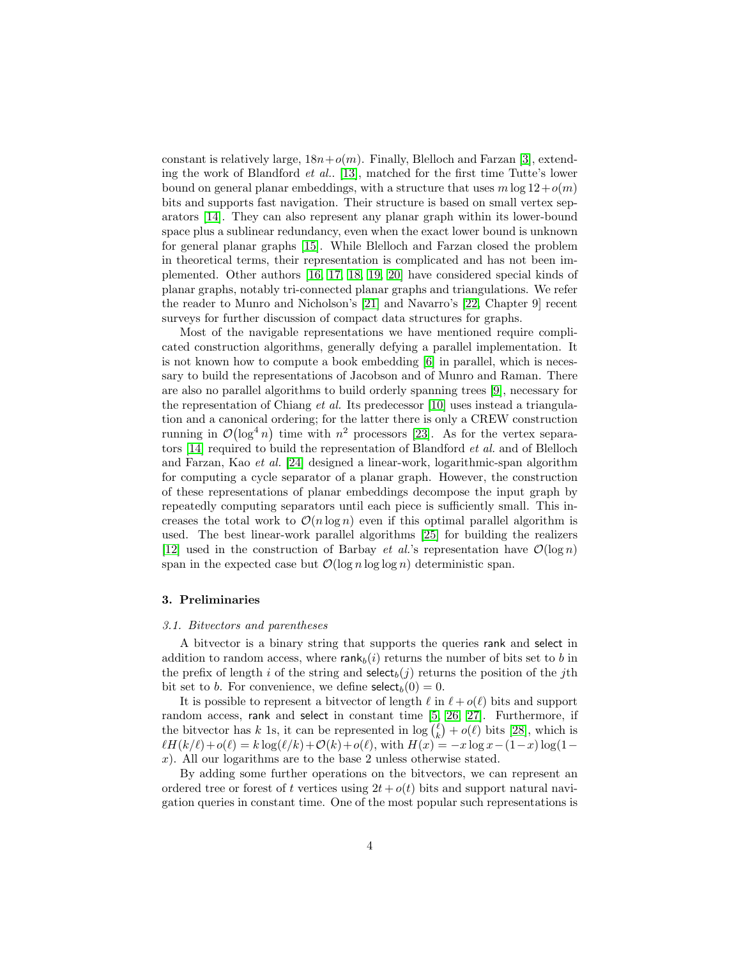constant is relatively large,  $18n+o(m)$ . Finally, Blelloch and Farzan [\[3\]](#page-31-2), extending the work of Blandford et al.. [\[13\]](#page-32-1), matched for the first time Tutte's lower bound on general planar embeddings, with a structure that uses  $m \log 12 + o(m)$ bits and supports fast navigation. Their structure is based on small vertex separators [\[14\]](#page-32-2). They can also represent any planar graph within its lower-bound space plus a sublinear redundancy, even when the exact lower bound is unknown for general planar graphs [\[15\]](#page-32-3). While Blelloch and Farzan closed the problem in theoretical terms, their representation is complicated and has not been implemented. Other authors [\[16,](#page-32-4) [17,](#page-32-5) [18,](#page-32-6) [19,](#page-32-7) [20\]](#page-32-8) have considered special kinds of planar graphs, notably tri-connected planar graphs and triangulations. We refer the reader to Munro and Nicholson's [\[21\]](#page-32-9) and Navarro's [\[22,](#page-32-10) Chapter 9] recent surveys for further discussion of compact data structures for graphs.

Most of the navigable representations we have mentioned require complicated construction algorithms, generally defying a parallel implementation. It is not known how to compute a book embedding [\[6\]](#page-31-5) in parallel, which is necessary to build the representations of Jacobson and of Munro and Raman. There are also no parallel algorithms to build orderly spanning trees [\[9\]](#page-31-8), necessary for the representation of Chiang *et al.* Its predecessor [\[10\]](#page-31-9) uses instead a triangulation and a canonical ordering; for the latter there is only a CREW construction running in  $\mathcal{O}(\log^4 n)$  time with  $n^2$  processors [\[23\]](#page-32-11). As for the vertex separators [\[14\]](#page-32-2) required to build the representation of Blandford et al. and of Blelloch and Farzan, Kao et al. [\[24\]](#page-32-12) designed a linear-work, logarithmic-span algorithm for computing a cycle separator of a planar graph. However, the construction of these representations of planar embeddings decompose the input graph by repeatedly computing separators until each piece is sufficiently small. This increases the total work to  $\mathcal{O}(n \log n)$  even if this optimal parallel algorithm is used. The best linear-work parallel algorithms [\[25\]](#page-33-0) for building the realizers [\[12\]](#page-32-0) used in the construction of Barbay *et al.*'s representation have  $\mathcal{O}(\log n)$ span in the expected case but  $\mathcal{O}(\log n \log \log n)$  deterministic span.

#### <span id="page-3-0"></span>3. Preliminaries

# 3.1. Bitvectors and parentheses

A bitvector is a binary string that supports the queries rank and select in addition to random access, where  $rank_b(i)$  returns the number of bits set to b in the prefix of length i of the string and  $\text{select}_b(j)$  returns the position of the jth bit set to b. For convenience, we define  $\text{select}_b(0) = 0$ .

It is possible to represent a bitvector of length  $\ell$  in  $\ell + o(\ell)$  bits and support random access, rank and select in constant time [\[5,](#page-31-4) [26,](#page-33-1) [27\]](#page-33-2). Furthermore, if the bitvector has k 1s, it can be represented in  $\log {(\ell) \choose k} + o(\ell)$  bits [\[28\]](#page-33-3), which is  $\ell H(k/\ell)+o(\ell) = k \log(\ell/k)+\mathcal{O}(k)+o(\ell)$ , with  $H(x) = -x \log x-(1-x) \log(1-x)$ x). All our logarithms are to the base 2 unless otherwise stated.

By adding some further operations on the bitvectors, we can represent an ordered tree or forest of t vertices using  $2t + o(t)$  bits and support natural navigation queries in constant time. One of the most popular such representations is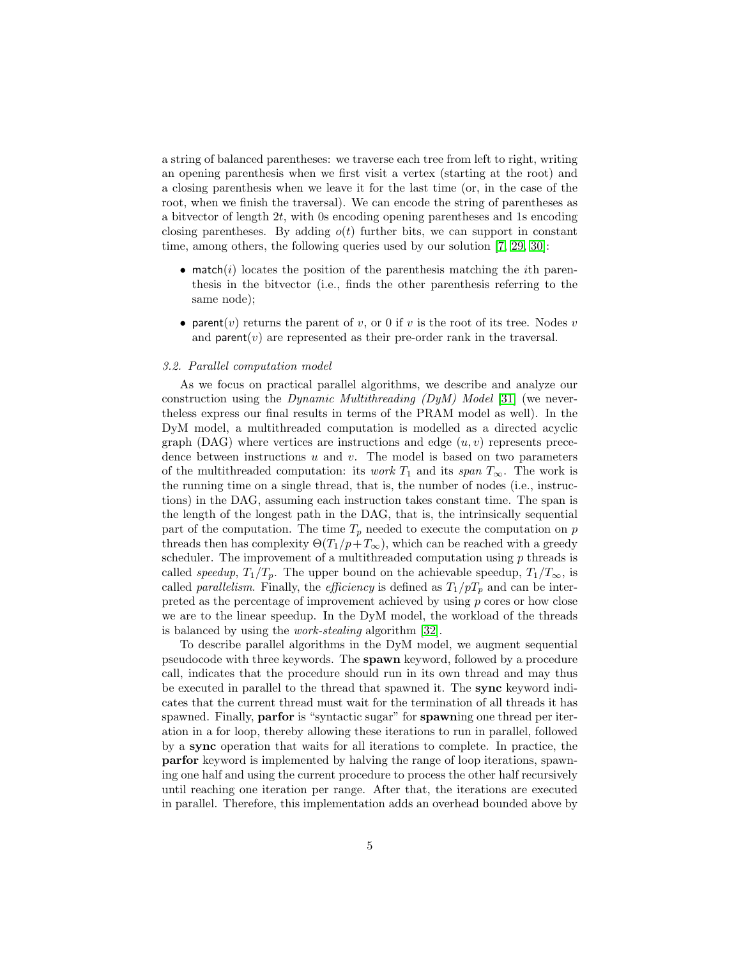a string of balanced parentheses: we traverse each tree from left to right, writing an opening parenthesis when we first visit a vertex (starting at the root) and a closing parenthesis when we leave it for the last time (or, in the case of the root, when we finish the traversal). We can encode the string of parentheses as a bityector of length  $2t$ , with 0s encoding opening parentheses and 1s encoding closing parentheses. By adding  $o(t)$  further bits, we can support in constant time, among others, the following queries used by our solution [\[7,](#page-31-6) [29,](#page-33-4) [30\]](#page-33-5):

- match(i) locates the position of the parenthesis matching the *i*th parenthesis in the bitvector (i.e., finds the other parenthesis referring to the same node);
- parent(v) returns the parent of v, or 0 if v is the root of its tree. Nodes v and **parent** $(v)$  are represented as their pre-order rank in the traversal.

#### 3.2. Parallel computation model

As we focus on practical parallel algorithms, we describe and analyze our construction using the *Dynamic Multithreading (DyM) Model* [\[31\]](#page-33-6) (we nevertheless express our final results in terms of the PRAM model as well). In the DyM model, a multithreaded computation is modelled as a directed acyclic graph (DAG) where vertices are instructions and edge  $(u, v)$  represents precedence between instructions  $u$  and  $v$ . The model is based on two parameters of the multithreaded computation: its *work*  $T_1$  and its *span*  $T_\infty$ . The work is the running time on a single thread, that is, the number of nodes (i.e., instructions) in the DAG, assuming each instruction takes constant time. The span is the length of the longest path in the DAG, that is, the intrinsically sequential part of the computation. The time  $T_p$  needed to execute the computation on p threads then has complexity  $\Theta(T_1/p+T_\infty)$ , which can be reached with a greedy scheduler. The improvement of a multithreaded computation using  $p$  threads is called speedup,  $T_1/T_p$ . The upper bound on the achievable speedup,  $T_1/T_{\infty}$ , is called *parallelism*. Finally, the *efficiency* is defined as  $T_1/pT_p$  and can be interpreted as the percentage of improvement achieved by using  $p$  cores or how close we are to the linear speedup. In the DyM model, the workload of the threads is balanced by using the work-stealing algorithm [\[32\]](#page-33-7).

To describe parallel algorithms in the DyM model, we augment sequential pseudocode with three keywords. The spawn keyword, followed by a procedure call, indicates that the procedure should run in its own thread and may thus be executed in parallel to the thread that spawned it. The sync keyword indicates that the current thread must wait for the termination of all threads it has spawned. Finally, **parfor** is "syntactic sugar" for **spawning** one thread per iteration in a for loop, thereby allowing these iterations to run in parallel, followed by a sync operation that waits for all iterations to complete. In practice, the parfor keyword is implemented by halving the range of loop iterations, spawning one half and using the current procedure to process the other half recursively until reaching one iteration per range. After that, the iterations are executed in parallel. Therefore, this implementation adds an overhead bounded above by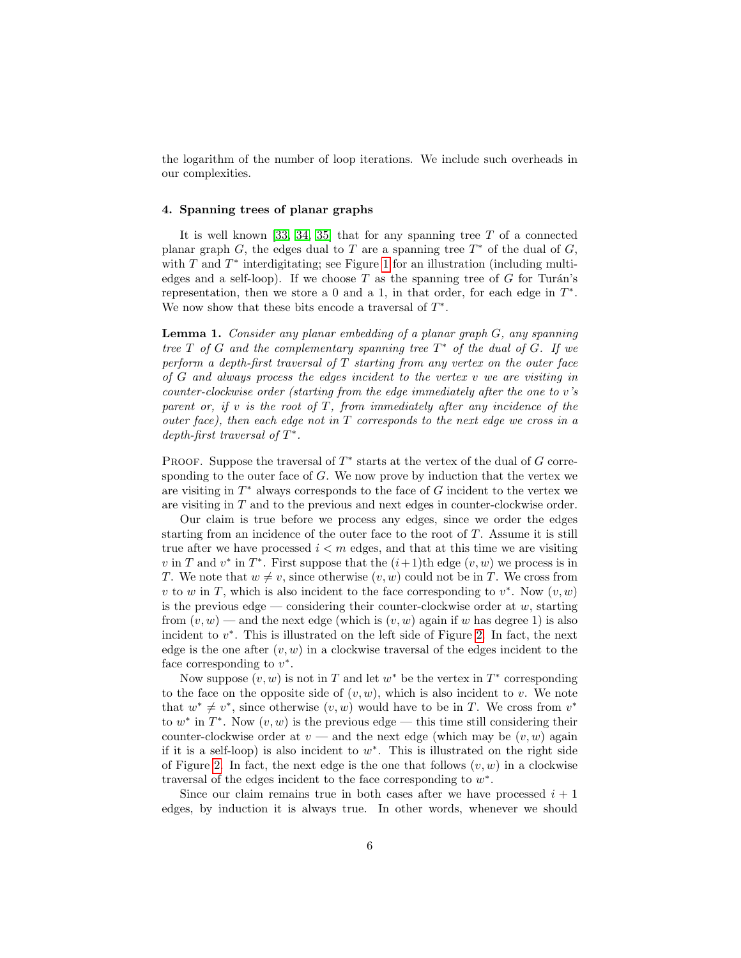the logarithm of the number of loop iterations. We include such overheads in our complexities.

#### <span id="page-5-0"></span>4. Spanning trees of planar graphs

It is well known [\[33,](#page-33-8) [34,](#page-33-9) [35\]](#page-33-10) that for any spanning tree T of a connected planar graph  $G$ , the edges dual to  $T$  are a spanning tree  $T^*$  of the dual of  $G$ , with  $T$  and  $T^*$  interdigitating; see Figure [1](#page-6-0) for an illustration (including multiedges and a self-loop). If we choose  $T$  as the spanning tree of  $G$  for Turán's representation, then we store a 0 and a 1, in that order, for each edge in  $T^*$ . We now show that these bits encode a traversal of  $T^*$ .

<span id="page-5-1"></span>Lemma 1. Consider any planar embedding of a planar graph G, any spanning tree  $T$  of  $G$  and the complementary spanning tree  $T^*$  of the dual of  $G$ . If we perform a depth-first traversal of  $T$  starting from any vertex on the outer face of  $G$  and always process the edges incident to the vertex  $v$  we are visiting in counter-clockwise order (starting from the edge immediately after the one to v's parent or, if  $v$  is the root of  $T$ , from immediately after any incidence of the outer face), then each edge not in  $T$  corresponds to the next edge we cross in a depth-first traversal of  $T^*$ .

PROOF. Suppose the traversal of  $T^*$  starts at the vertex of the dual of  $G$  corresponding to the outer face of  $G$ . We now prove by induction that the vertex we are visiting in  $T^*$  always corresponds to the face of  $G$  incident to the vertex we are visiting in T and to the previous and next edges in counter-clockwise order.

Our claim is true before we process any edges, since we order the edges starting from an incidence of the outer face to the root of T. Assume it is still true after we have processed  $i < m$  edges, and that at this time we are visiting v in T and  $v^*$  in  $T^*$ . First suppose that the  $(i+1)$ th edge  $(v, w)$  we process is in T. We note that  $w \neq v$ , since otherwise  $(v, w)$  could not be in T. We cross from v to w in T, which is also incident to the face corresponding to  $v^*$ . Now  $(v, w)$ is the previous edge — considering their counter-clockwise order at  $w$ , starting from  $(v, w)$  — and the next edge (which is  $(v, w)$  again if w has degree 1) is also incident to  $v^*$ . This is illustrated on the left side of Figure [2.](#page-7-1) In fact, the next edge is the one after  $(v, w)$  in a clockwise traversal of the edges incident to the face corresponding to  $v^*$ .

Now suppose  $(v, w)$  is not in T and let  $w^*$  be the vertex in  $T^*$  corresponding to the face on the opposite side of  $(v, w)$ , which is also incident to v. We note that  $w^* \neq v^*$ , since otherwise  $(v, w)$  would have to be in T. We cross from  $v^*$ to  $w^*$  in  $T^*$ . Now  $(v, w)$  is the previous edge — this time still considering their counter-clockwise order at  $v$  — and the next edge (which may be  $(v, w)$  again if it is a self-loop) is also incident to  $w^*$ . This is illustrated on the right side of Figure [2.](#page-7-1) In fact, the next edge is the one that follows  $(v, w)$  in a clockwise traversal of the edges incident to the face corresponding to  $w^*$ .

Since our claim remains true in both cases after we have processed  $i + 1$ edges, by induction it is always true. In other words, whenever we should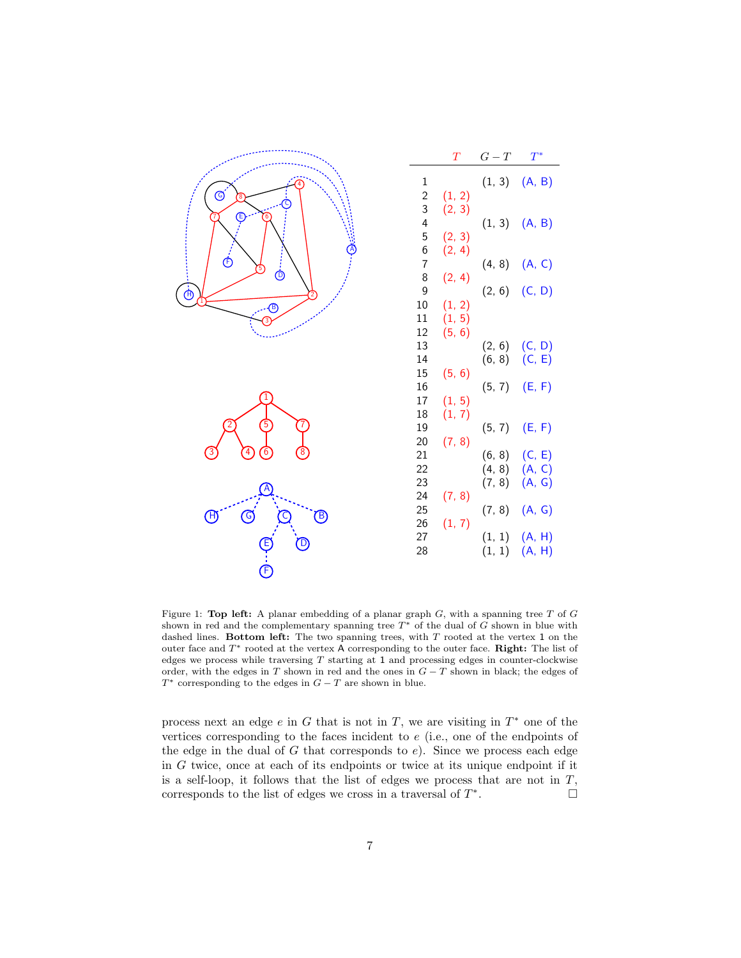<span id="page-6-0"></span>

|                                            |                          | T                | $G-T$                      | $T^*$                      |
|--------------------------------------------|--------------------------|------------------|----------------------------|----------------------------|
| ◎                                          | $\,1$<br>$\frac{2}{3}$   | (1, 2)           | (1, 3)                     | (A, B)                     |
| Ē                                          | $\overline{a}$<br>5      | (2, 3)<br>(2, 3) | (1, 3)                     | (A, B)                     |
| $\hat{\mathfrak{G}}$<br>$\dot{\mathbb{O}}$ | $\frac{6}{7}$<br>8       | (2, 4)<br>(2, 4) | (4, 8)                     | (A, C)                     |
| $\dot{\oplus}$<br>$^{\circledR}$           | $\overline{9}$<br>$10\,$ | (1, 2)           | (2, 6)                     | (C, D)                     |
|                                            | 11<br>12<br>13           | (1, 5)<br>(5, 6) | (2, 6)                     | (C, D)                     |
|                                            | 14<br>15                 | (5, 6)           | (6, 8)                     | (C, E)                     |
|                                            | 16<br>17<br>18           | (1, 5)           | (5, 7)                     | (E, F)                     |
|                                            | 19<br>20                 | (1, 7)<br>(7, 8) | (5, 7)                     | (E, F)                     |
| $\left[4\right]$<br>$\left[6\right]$       | 21<br>22<br>23           |                  | (6, 8)<br>(4, 8)<br>(7, 8) | (C, E)<br>(A, C)<br>(A, G) |
| $\circledS$<br>H)<br>(B)                   | 24<br>25                 | (7, 8)           | (7, 8)                     | (A, G)                     |
| E<br>D                                     | 26<br>27<br>28           | (1, 7)           | (1, 1)<br>(1, 1)           | (A, H)<br>(A, H)           |
| $\dot{\mathsf{P}}$                         |                          |                  |                            |                            |

Figure 1: Top left: A planar embedding of a planar graph  $G$ , with a spanning tree  $T$  of  $G$ shown in red and the complementary spanning tree  $T^*$  of the dual of G shown in blue with dashed lines. Bottom left: The two spanning trees, with  $T$  rooted at the vertex 1 on the outer face and  $T^*$  rooted at the vertex A corresponding to the outer face. Right: The list of edges we process while traversing  $T$  starting at 1 and processing edges in counter-clockwise order, with the edges in  $T$  shown in red and the ones in  $G - T$  shown in black; the edges of  $T^*$  corresponding to the edges in  $G - T$  are shown in blue.

process next an edge  $e$  in  $G$  that is not in  $T$ , we are visiting in  $T^*$  one of the vertices corresponding to the faces incident to e (i.e., one of the endpoints of the edge in the dual of  $G$  that corresponds to  $e$ ). Since we process each edge in G twice, once at each of its endpoints or twice at its unique endpoint if it is a self-loop, it follows that the list of edges we process that are not in  $T$ , corresponds to the list of edges we cross in a traversal of  $T^*$ . — Первый просто просто просто просто просто просто просто просто просто просто просто просто просто просто п<br>В просто просто просто просто просто просто просто просто просто просто просто просто просто просто просто про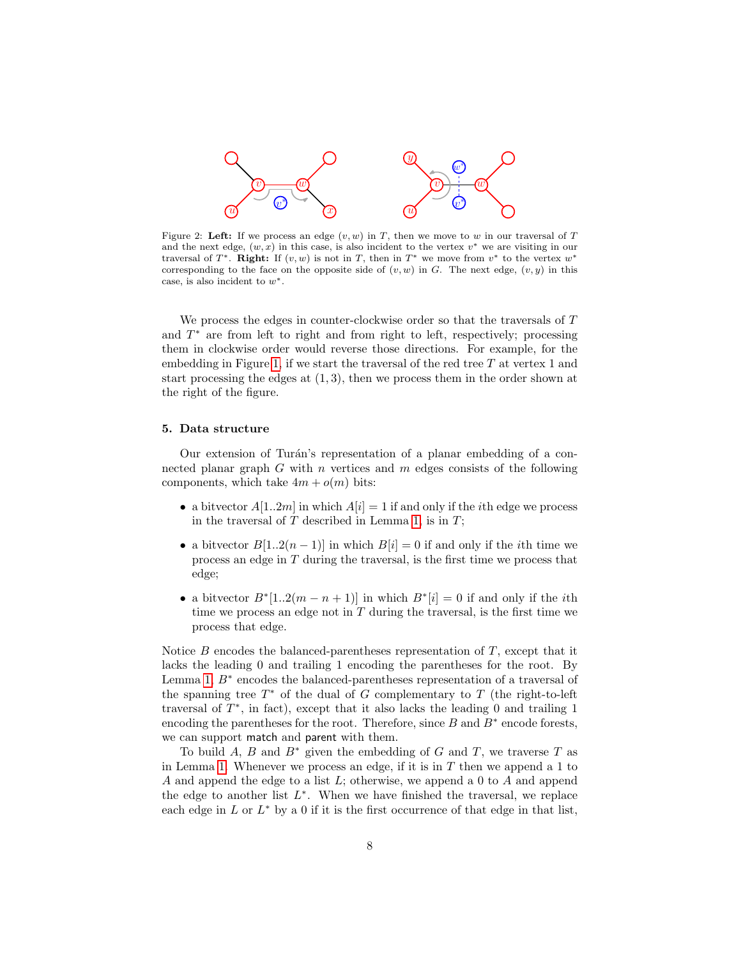<span id="page-7-1"></span>

Figure 2: Left: If we process an edge  $(v, w)$  in T, then we move to w in our traversal of T and the next edge,  $(w, x)$  in this case, is also incident to the vertex  $v^*$  we are visiting in our traversal of  $T^*$ . Right: If  $(v, w)$  is not in  $T$ , then in  $T^*$  we move from  $v^*$  to the vertex  $w^*$ corresponding to the face on the opposite side of  $(v, w)$  in G. The next edge,  $(v, y)$  in this case, is also incident to  $w^*$ .

We process the edges in counter-clockwise order so that the traversals of T and  $T^*$  are from left to right and from right to left, respectively; processing them in clockwise order would reverse those directions. For example, for the embedding in Figure [1,](#page-6-0) if we start the traversal of the red tree T at vertex 1 and start processing the edges at  $(1, 3)$ , then we process them in the order shown at the right of the figure.

## <span id="page-7-0"></span>5. Data structure

Our extension of Turán's representation of a planar embedding of a connected planar graph  $G$  with  $n$  vertices and  $m$  edges consists of the following components, which take  $4m + o(m)$  bits:

- a bitvector  $A[1..2m]$  in which  $A[i] = 1$  if and only if the *i*th edge we process in the traversal of  $T$  described in Lemma [1,](#page-5-1) is in  $T$ ;
- a bitvector  $B[1..2(n-1)]$  in which  $B[i] = 0$  if and only if the *i*th time we process an edge in T during the traversal, is the first time we process that edge;
- a bitvector  $B^*[1..2(m-n+1)]$  in which  $B^*[i] = 0$  if and only if the *i*th time we process an edge not in  $T$  during the traversal, is the first time we process that edge.

Notice  $B$  encodes the balanced-parentheses representation of  $T$ , except that it lacks the leading 0 and trailing 1 encoding the parentheses for the root. By Lemma [1,](#page-5-1)  $B^*$  encodes the balanced-parentheses representation of a traversal of the spanning tree  $T^*$  of the dual of G complementary to T (the right-to-left traversal of  $T^*$ , in fact), except that it also lacks the leading 0 and trailing 1 encoding the parentheses for the root. Therefore, since  $B$  and  $B^*$  encode forests, we can support match and parent with them.

To build A, B and  $B^*$  given the embedding of G and T, we traverse T as in Lemma [1.](#page-5-1) Whenever we process an edge, if it is in  $T$  then we append a 1 to A and append the edge to a list L; otherwise, we append a 0 to A and append the edge to another list  $L^*$ . When we have finished the traversal, we replace each edge in  $L$  or  $L^*$  by a 0 if it is the first occurrence of that edge in that list,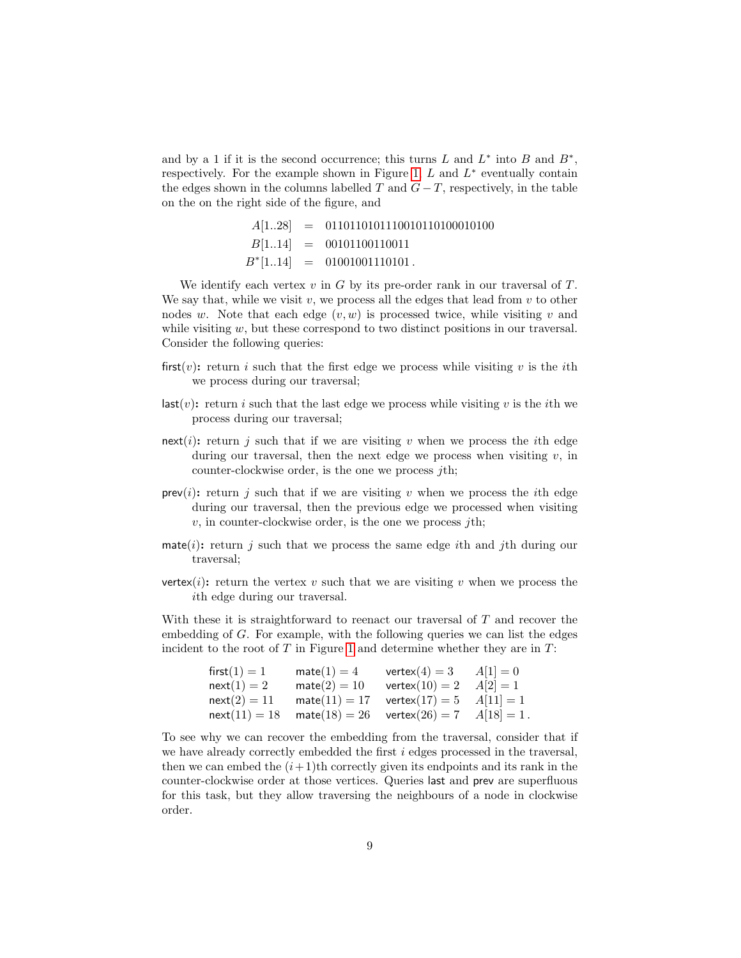and by a 1 if it is the second occurrence; this turns L and  $L^*$  into B and  $B^*$ , respectively. For the example shown in Figure [1,](#page-6-0)  $L$  and  $L^*$  eventually contain the edges shown in the columns labelled T and  $G-T$ , respectively, in the table on the on the right side of the figure, and

$$
A[1..28] = 0110110101110010110100010100
$$
  
\n
$$
B[1..14] = 00101100110011
$$
  
\n
$$
B^*[1..14] = 01001001110101.
$$

We identify each vertex  $v$  in  $G$  by its pre-order rank in our traversal of  $T$ . We say that, while we visit v, we process all the edges that lead from  $v$  to other nodes w. Note that each edge  $(v, w)$  is processed twice, while visiting v and while visiting  $w$ , but these correspond to two distinct positions in our traversal. Consider the following queries:

- first(v): return i such that the first edge we process while visiting v is the ith we process during our traversal;
- $\textsf{last}(v)$ : return i such that the last edge we process while visiting v is the ith we process during our traversal;
- next(i): return j such that if we are visiting v when we process the ith edge during our traversal, then the next edge we process when visiting  $v$ , in counter-clockwise order, is the one we process  $j<sup>th</sup>$ ;
- $prev(i)$ : return j such that if we are visiting v when we process the *i*th edge during our traversal, then the previous edge we processed when visiting  $v$ , in counter-clockwise order, is the one we process *j*th;
- mate(i): return j such that we process the same edge ith and jth during our traversal;
- vertex(i): return the vertex v such that we are visiting v when we process the ith edge during our traversal.

With these it is straightforward to reenact our traversal of T and recover the embedding of G. For example, with the following queries we can list the edges incident to the root of  $T$  in Figure [1](#page-6-0) and determine whether they are in  $T$ :

| first $(1)=1$  | $mate(1) = 4$                                                                             | $vertex(4) = 3$                               | $A[1] = 0$ |
|----------------|-------------------------------------------------------------------------------------------|-----------------------------------------------|------------|
| $next(1)=2$    | $mate(2) = 10$                                                                            | $vertex(10) = 2$ $A[2] = 1$                   |            |
| $next(2) = 11$ |                                                                                           | $mate(11) = 17$ vertex $(17) = 5$ $A[11] = 1$ |            |
|                | $\mathsf{next}(11) = 18$ $\mathsf{mate}(18) = 26$ $\mathsf{vertex}(26) = 7$ $A[18] = 1$ . |                                               |            |

To see why we can recover the embedding from the traversal, consider that if we have already correctly embedded the first i edges processed in the traversal, then we can embed the  $(i+1)$ th correctly given its endpoints and its rank in the counter-clockwise order at those vertices. Queries last and prev are superfluous for this task, but they allow traversing the neighbours of a node in clockwise order.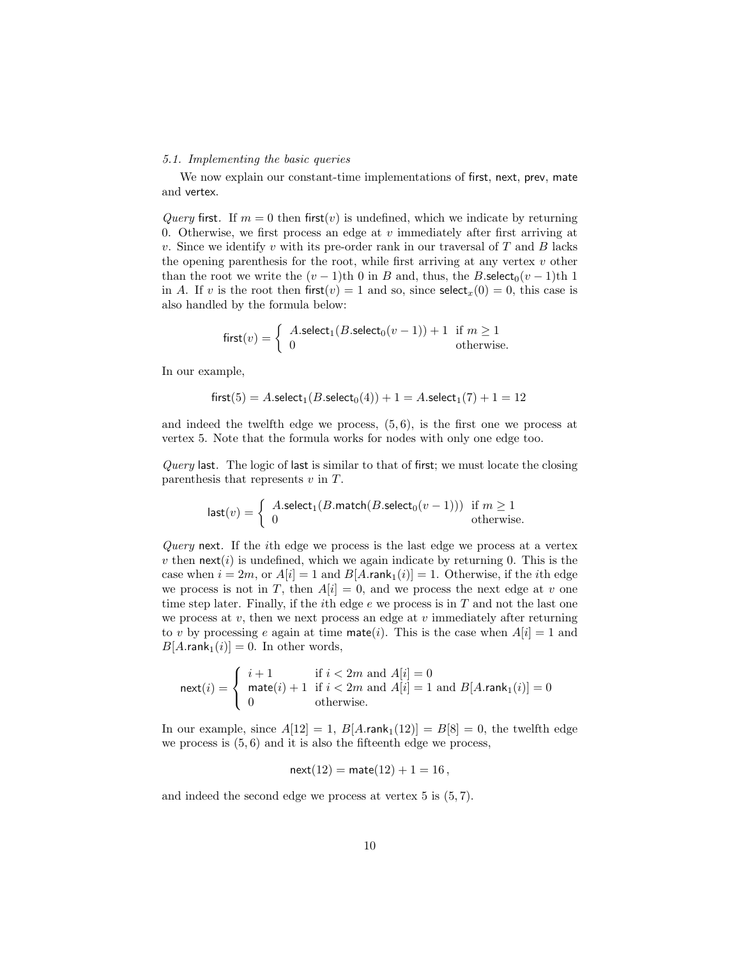# 5.1. Implementing the basic queries

We now explain our constant-time implementations of first, next, prev, mate and vertex.

Query first. If  $m = 0$  then first(v) is undefined, which we indicate by returning 0. Otherwise, we first process an edge at  $v$  immediately after first arriving at v. Since we identify v with its pre-order rank in our traversal of  $T$  and  $B$  lacks the opening parenthesis for the root, while first arriving at any vertex  $v$  other than the root we write the  $(v - 1)$ th 0 in B and, thus, the B.select<sub>0</sub> $(v - 1)$ th 1 in A. If v is the root then first(v) = 1 and so, since select<sub>x</sub>(0) = 0, this case is also handled by the formula below:

$$
first(v) = \begin{cases} A.\text{select}_1(B.\text{select}_0(v-1)) + 1 & \text{if } m \ge 1\\ 0 & \text{otherwise.} \end{cases}
$$

In our example,

$$
first(5) = A.\nselect_1(B.\nselect_0(4)) + 1 = A.\nselect_1(7) + 1 = 12
$$

and indeed the twelfth edge we process,  $(5, 6)$ , is the first one we process at vertex 5. Note that the formula works for nodes with only one edge too.

Query last. The logic of last is similar to that of first; we must locate the closing parenthesis that represents  $v$  in  $T$ .

$$
\text{last}(v) = \begin{cases} A.\text{select}_1(B.\text{match}(B.\text{select}_0(v-1))) & \text{if } m \ge 1\\ 0 & \text{otherwise.} \end{cases}
$$

Query next. If the *i*th edge we process is the last edge we process at a vertex v then  $next(i)$  is undefined, which we again indicate by returning 0. This is the case when  $i = 2m$ , or  $A[i] = 1$  and  $B[A.\text{rank}_1(i)] = 1$ . Otherwise, if the *i*th edge we process is not in T, then  $A[i] = 0$ , and we process the next edge at v one time step later. Finally, if the *i*th edge  $e$  we process is in  $T$  and not the last one we process at  $v$ , then we next process an edge at  $v$  immediately after returning to v by processing e again at time mate(i). This is the case when  $A[i] = 1$  and  $B[A.\text{rank}_1(i)] = 0$ . In other words,

$$
\text{next}(i) = \begin{cases} i+1 & \text{if } i < 2m \text{ and } A[i] = 0\\ \text{mate}(i) + 1 & \text{if } i < 2m \text{ and } A[i] = 1 \text{ and } B[A.\text{rank}_1(i)] = 0\\ 0 & \text{otherwise.} \end{cases}
$$

In our example, since  $A[12] = 1$ ,  $B[A.\text{rank}_1(12)] = B[8] = 0$ , the twelfth edge we process is  $(5, 6)$  and it is also the fifteenth edge we process,

$$
next(12) = mate(12) + 1 = 16,
$$

and indeed the second edge we process at vertex 5 is (5, 7).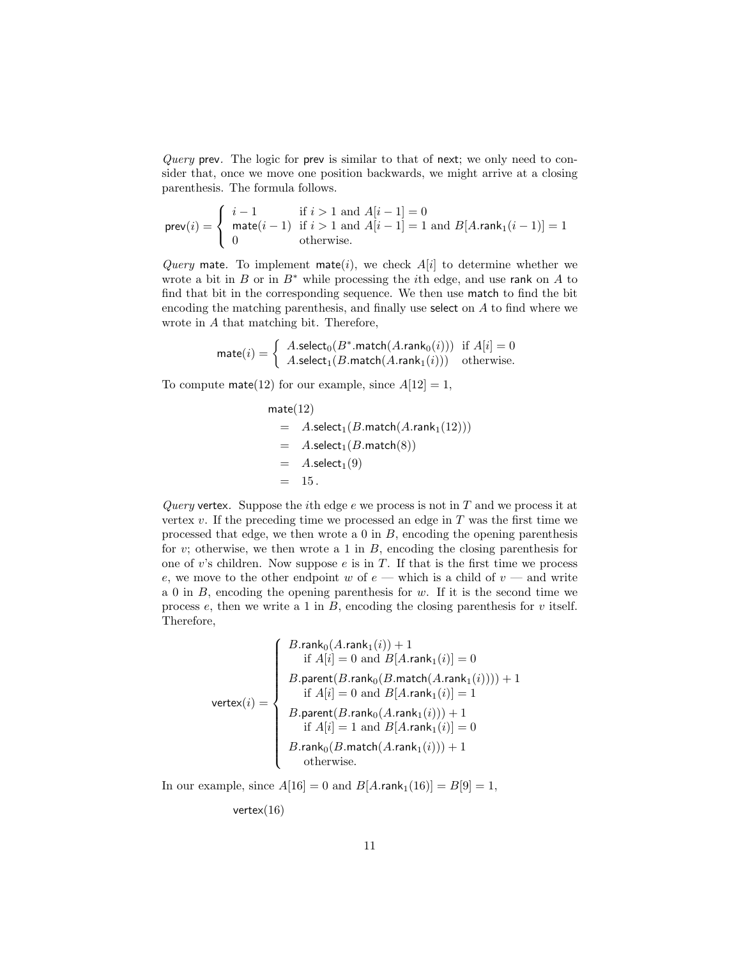Query prev. The logic for prev is similar to that of next; we only need to consider that, once we move one position backwards, we might arrive at a closing parenthesis. The formula follows.

$$
\text{prev}(i) = \begin{cases} i - 1 & \text{if } i > 1 \text{ and } A[i - 1] = 0\\ \text{mate}(i - 1) & \text{if } i > 1 \text{ and } A[i - 1] = 1 \text{ and } B[A.\text{rank}_1(i - 1)] = 1\\ 0 & \text{otherwise.} \end{cases}
$$

Query mate. To implement mate(i), we check  $A[i]$  to determine whether we wrote a bit in  $B$  or in  $B^*$  while processing the *i*th edge, and use rank on  $A$  to find that bit in the corresponding sequence. We then use match to find the bit encoding the matching parenthesis, and finally use select on A to find where we wrote in A that matching bit. Therefore,

$$
\text{mate}(i) = \left\{ \begin{array}{ll} A.\text{select}_0(B^*.\text{match}(A.\text{rank}_0(i))) & \text{if } A[i] = 0 \\ A.\text{select}_1(B.\text{match}(A.\text{rank}_1(i))) & \text{otherwise.} \end{array} \right.
$$

To compute mate(12) for our example, since  $A[12] = 1$ ,

$$
mate(12)
$$
  
=  $A.sleepect_1(B.math(Arank_1(12)))$   
=  $A.sleepect_1(B.math(8))$   
=  $A.sleepect_1(9)$   
= 15.

Query vertex. Suppose the *i*th edge  $e$  we process is not in  $T$  and we process it at vertex  $v$ . If the preceding time we processed an edge in  $T$  was the first time we processed that edge, we then wrote a  $0$  in  $B$ , encoding the opening parenthesis for v; otherwise, we then wrote a 1 in  $B$ , encoding the closing parenthesis for one of v's children. Now suppose  $e$  is in  $T$ . If that is the first time we process e, we move to the other endpoint w of  $e$  — which is a child of  $v$  — and write a 0 in  $B$ , encoding the opening parenthesis for  $w$ . If it is the second time we process e, then we write a 1 in  $B$ , encoding the closing parenthesis for v itself. Therefore,

$$
\text{vertex}(i) = \left\{\begin{array}{c} B.\text{rank}_0(A.\text{rank}_1(i)) + 1 \\ \text{if } A[i] = 0 \text{ and } B[A.\text{rank}_1(i)] = 0 \\ B.\text{parent}(B.\text{rank}_0(B.\text{match}(A.\text{rank}_1(i)))) + 1 \\ \text{if } A[i] = 0 \text{ and } B[A.\text{rank}_1(i)] = 1 \\ B.\text{parent}(B.\text{rank}_0(A.\text{rank}_1(i))) + 1 \\ \text{if } A[i] = 1 \text{ and } B[A.\text{rank}_1(i)] = 0 \\ B.\text{rank}_0(B.\text{match}(A.\text{rank}_1(i))) + 1 \\ \text{otherwise.} \end{array}\right.
$$

In our example, since  $A[16] = 0$  and  $B[A.\text{rank}_1(16)] = B[9] = 1$ ,

vertex $(16)$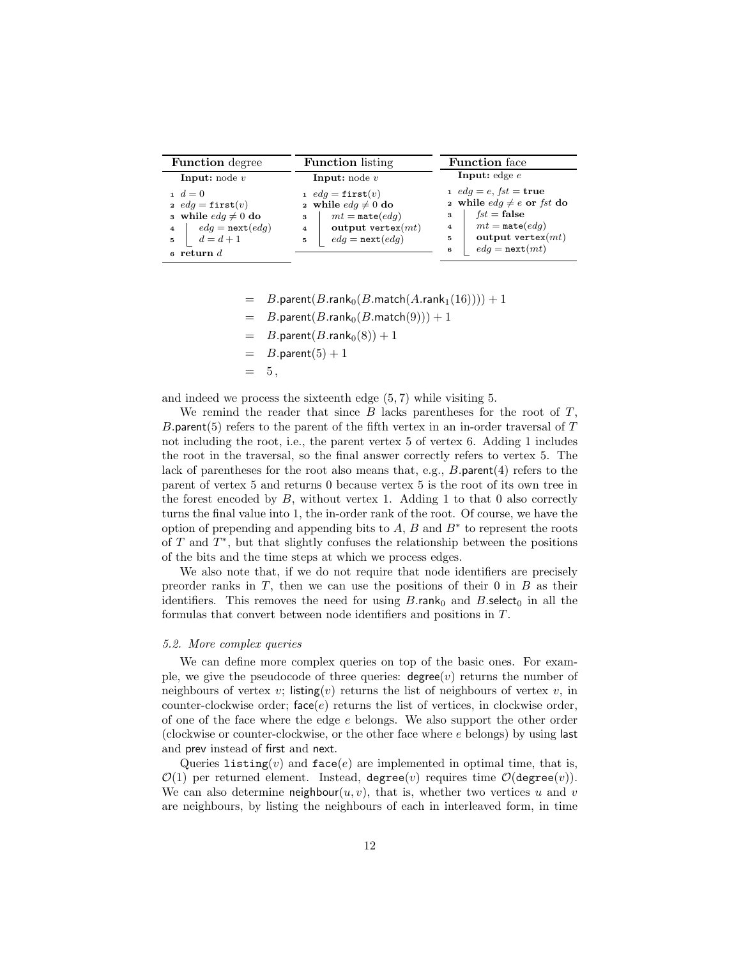| <b>Function</b> degree                                                                                                                                          | <b>Function</b> listing                                                                                                                                                        | <b>Function</b> face                                                                                                                                                                                      |  |
|-----------------------------------------------------------------------------------------------------------------------------------------------------------------|--------------------------------------------------------------------------------------------------------------------------------------------------------------------------------|-----------------------------------------------------------------------------------------------------------------------------------------------------------------------------------------------------------|--|
| <b>Input:</b> node $v$                                                                                                                                          | <b>Input:</b> node $v$                                                                                                                                                         | <b>Input:</b> edge $e$                                                                                                                                                                                    |  |
| $d = 0$<br>2 $edq = \text{first}(v)$<br>a while $edq \neq 0$ do<br>$edg = \texttt{next}(edg)$<br>$\overline{\mathbf{4}}$<br>$d=d+1$<br>5<br>$\epsilon$ return d | 1 $edq = \texttt{first}(v)$<br>2 while $edq \neq 0$ do<br>$mt = \mathtt{mate}(edq)$<br>3<br>output vertex $(mt)$<br>$\overline{\mathbf{4}}$<br>$edg = \texttt{next}(edg)$<br>5 | $1 \text{ } edg = e, \text{ } fst = \text{true}$<br>2 while $edq \neq e$ or fst do<br>$fst = false$<br>3<br>$mt = \mathtt{mate}(edq)$<br>4<br>output vertex $(mt)$<br>5<br>$edq = \texttt{next}(mt)$<br>6 |  |

- $B$ .parent $(B.\mathsf{rank}_{0}(B.\mathsf{match}(A.\mathsf{rank}_{1}(16)))) + 1$
- $= B.\text{parent}(B.\text{rank}_0(B.\text{match}(9))) + 1$
- $= B.\text{parent}(B.\text{rank}_0(8)) + 1$
- $B$ .parent $(5) + 1$
- $= 5$ ,

and indeed we process the sixteenth edge (5, 7) while visiting 5.

We remind the reader that since  $B$  lacks parentheses for the root of  $T$ , B.parent(5) refers to the parent of the fifth vertex in an in-order traversal of  $T$ not including the root, i.e., the parent vertex 5 of vertex 6. Adding 1 includes the root in the traversal, so the final answer correctly refers to vertex 5. The lack of parentheses for the root also means that, e.g., B.parent(4) refers to the parent of vertex 5 and returns 0 because vertex 5 is the root of its own tree in the forest encoded by  $B$ , without vertex 1. Adding 1 to that 0 also correctly turns the final value into 1, the in-order rank of the root. Of course, we have the option of prepending and appending bits to  $A, B$  and  $B^*$  to represent the roots of  $T$  and  $T^*$ , but that slightly confuses the relationship between the positions of the bits and the time steps at which we process edges.

We also note that, if we do not require that node identifiers are precisely preorder ranks in  $T$ , then we can use the positions of their 0 in  $B$  as their identifiers. This removes the need for using  $B.\mathsf{rank}_0$  and  $B.\mathsf{select}_0$  in all the formulas that convert between node identifiers and positions in T.

#### 5.2. More complex queries

We can define more complex queries on top of the basic ones. For example, we give the pseudocode of three queries:  $degree(v)$  returns the number of neighbours of vertex v; listing(v) returns the list of neighbours of vertex v, in counter-clockwise order;  $face(e)$  returns the list of vertices, in clockwise order, of one of the face where the edge e belongs. We also support the other order (clockwise or counter-clockwise, or the other face where e belongs) by using last and prev instead of first and next.

Queries listing(v) and  $face(e)$  are implemented in optimal time, that is,  $\mathcal{O}(1)$  per returned element. Instead, degree(v) requires time  $\mathcal{O}(\text{degree}(v))$ . We can also determine neighbour $(u, v)$ , that is, whether two vertices u and v are neighbours, by listing the neighbours of each in interleaved form, in time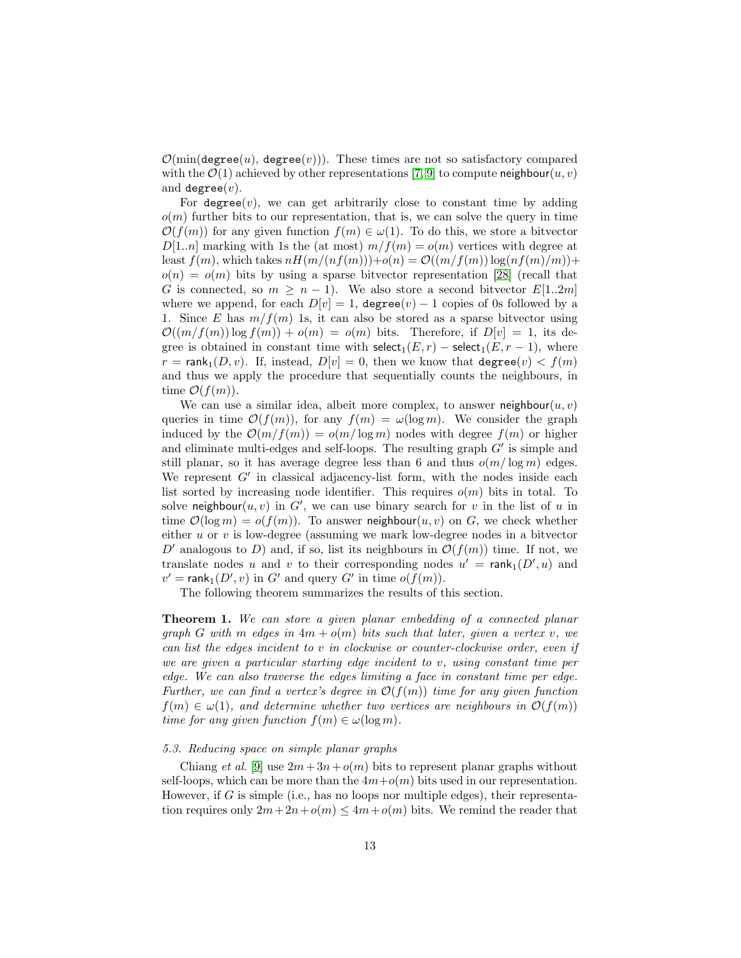$\mathcal{O}(\min(\text{degree}(u), \text{degree}(v)))$ . These times are not so satisfactory compared with the  $\mathcal{O}(1)$  achieved by other representations [\[7,](#page-31-6) [9\]](#page-31-8) to compute neighbour $(u, v)$ and degree $(v)$ .

For degree(v), we can get arbitrarily close to constant time by adding  $o(m)$  further bits to our representation, that is, we can solve the query in time  $\mathcal{O}(f(m))$  for any given function  $f(m) \in \omega(1)$ . To do this, we store a bitvector  $D[1..n]$  marking with 1s the (at most)  $m/f(m) = o(m)$  vertices with degree at least  $f(m)$ , which takes  $nH(m/(nf(m))) + o(n) = \mathcal{O}((m/f(m)) \log(n f(m)/m)) +$  $o(n) = o(m)$  bits by using a sparse bitvector representation [\[28\]](#page-33-3) (recall that G is connected, so  $m \geq n-1$ ). We also store a second bitvector  $E[1..2m]$ where we append, for each  $D[v] = 1$ , degree $(v) - 1$  copies of 0s followed by a 1. Since E has  $m/f(m)$  1s, it can also be stored as a sparse bitvector using  $\mathcal{O}((m/f(m))\log f(m)) + o(m) = o(m)$  bits. Therefore, if  $D[v] = 1$ , its degree is obtained in constant time with select<sub>1</sub> $(E, r)$  – select<sub>1</sub> $(E, r - 1)$ , where  $r = \text{rank}_{1}(D, v)$ . If, instead,  $D[v] = 0$ , then we know that degree $(v) < f(m)$ and thus we apply the procedure that sequentially counts the neighbours, in time  $\mathcal{O}(f(m)).$ 

We can use a similar idea, albeit more complex, to answer neighbour $(u, v)$ queries in time  $\mathcal{O}(f(m))$ , for any  $f(m) = \omega(\log m)$ . We consider the graph induced by the  $\mathcal{O}(m/f(m)) = o(m/\log m)$  nodes with degree  $f(m)$  or higher and eliminate multi-edges and self-loops. The resulting graph  $G'$  is simple and still planar, so it has average degree less than 6 and thus  $o(m/\log m)$  edges. We represent  $G'$  in classical adjacency-list form, with the nodes inside each list sorted by increasing node identifier. This requires  $o(m)$  bits in total. To solve neighbour $(u, v)$  in G', we can use binary search for v in the list of u in time  $\mathcal{O}(\log m) = o(f(m))$ . To answer neighbour $(u, v)$  on G, we check whether either u or v is low-degree (assuming we mark low-degree nodes in a bitvector D' analogous to D) and, if so, list its neighbours in  $\mathcal{O}(f(m))$  time. If not, we translate nodes u and v to their corresponding nodes  $u' = \text{rank}_1(D', u)$  and  $v' = \text{rank}_1(D', v)$  in G' and query G' in time  $o(f(m))$ .

The following theorem summarizes the results of this section.

<span id="page-12-0"></span>**Theorem 1.** We can store a given planar embedding of a connected planar graph G with m edges in  $4m + o(m)$  bits such that later, given a vertex v, we can list the edges incident to v in clockwise or counter-clockwise order, even if we are given a particular starting edge incident to  $v$ , using constant time per edge. We can also traverse the edges limiting a face in constant time per edge. Further, we can find a vertex's degree in  $\mathcal{O}(f(m))$  time for any given function  $f(m) \in \omega(1)$ , and determine whether two vertices are neighbours in  $\mathcal{O}(f(m))$ time for any given function  $f(m) \in \omega(\log m)$ .

#### 5.3. Reducing space on simple planar graphs

Chiang et al. [\[9\]](#page-31-8) use  $2m+3n+o(m)$  bits to represent planar graphs without self-loops, which can be more than the  $4m+o(m)$  bits used in our representation. However, if G is simple (i.e., has no loops nor multiple edges), their representation requires only  $2m + 2n + o(m) \leq 4m + o(m)$  bits. We remind the reader that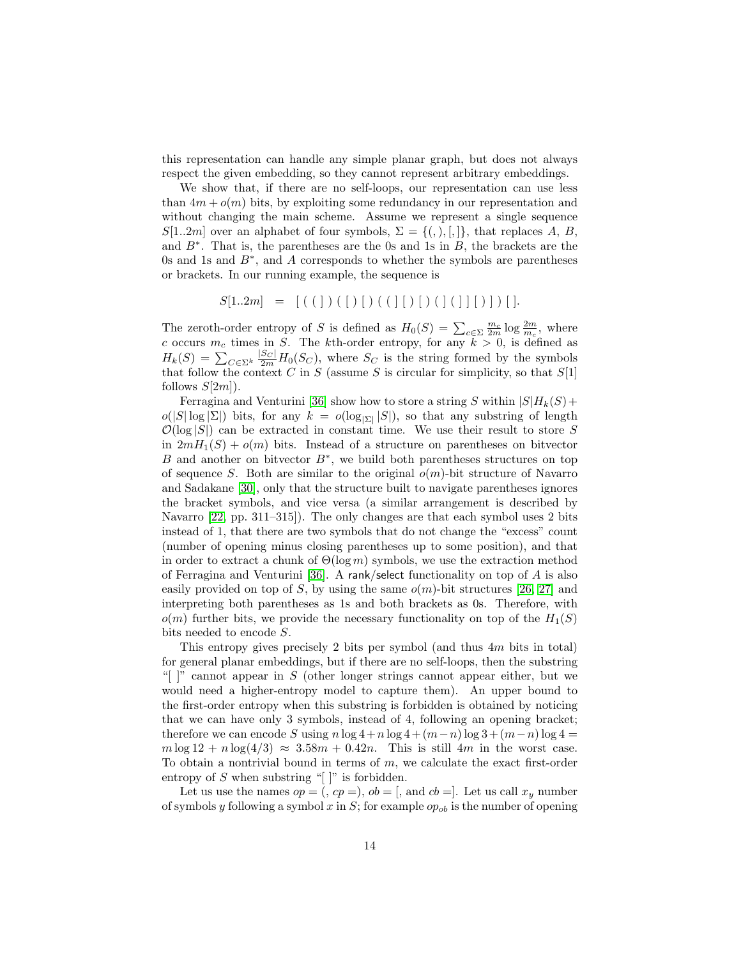this representation can handle any simple planar graph, but does not always respect the given embedding, so they cannot represent arbitrary embeddings.

We show that, if there are no self-loops, our representation can use less than  $4m + o(m)$  bits, by exploiting some redundancy in our representation and without changing the main scheme. Assume we represent a single sequence  $S[1..2m]$  over an alphabet of four symbols,  $\Sigma = \{(), |, |\}$ , that replaces A, B, and  $B^*$ . That is, the parentheses are the 0s and 1s in  $B$ , the brackets are the 0s and 1s and  $B^*$ , and A corresponds to whether the symbols are parentheses or brackets. In our running example, the sequence is

$$
S[1..2m] = [ ( ( ) ) ( [ ) [ ( ( ] [ ) [ ) ( ] [ ) [ ] ] [ ] ] ]
$$

The zeroth-order entropy of S is defined as  $H_0(S) = \sum_{c \in \Sigma} \frac{m_c}{2m} \log \frac{2m}{m_c}$ , where c occurs  $m_c$  times in S. The kth-order entropy, for any  $k > 0$ , is defined as  $H_k(S) = \sum_{C \in \Sigma^k} \frac{|S_C|}{2m} H_0(S_C)$ , where  $S_C$  is the string formed by the symbols that follow the context C in S (assume S is circular for simplicity, so that  $S[1]$ follows  $S[2m]$ .

Ferragina and Venturini [\[36\]](#page-33-11) show how to store a string S within  $|S|H_k(S)$  +  $o(|S|\log|\Sigma|)$  bits, for any  $k = o(\log_{|\Sigma|} |S|)$ , so that any substring of length  $\mathcal{O}(\log |S|)$  can be extracted in constant time. We use their result to store S in  $2mH_1(S) + o(m)$  bits. Instead of a structure on parentheses on bitvector B and another on bitvector  $B^*$ , we build both parentheses structures on top of sequence S. Both are similar to the original  $o(m)$ -bit structure of Navarro and Sadakane [\[30\]](#page-33-5), only that the structure built to navigate parentheses ignores the bracket symbols, and vice versa (a similar arrangement is described by Navarro [\[22,](#page-32-10) pp. 311–315]). The only changes are that each symbol uses 2 bits instead of 1, that there are two symbols that do not change the "excess" count (number of opening minus closing parentheses up to some position), and that in order to extract a chunk of  $\Theta(\log m)$  symbols, we use the extraction method of Ferragina and Venturini [\[36\]](#page-33-11). A rank/select functionality on top of  $A$  is also easily provided on top of S, by using the same  $o(m)$ -bit structures [\[26,](#page-33-1) [27\]](#page-33-2) and interpreting both parentheses as 1s and both brackets as 0s. Therefore, with  $o(m)$  further bits, we provide the necessary functionality on top of the  $H_1(S)$ bits needed to encode S.

This entropy gives precisely 2 bits per symbol (and thus  $4m$  bits in total) for general planar embeddings, but if there are no self-loops, then the substring " $\mid$ " cannot appear in S (other longer strings cannot appear either, but we would need a higher-entropy model to capture them). An upper bound to the first-order entropy when this substring is forbidden is obtained by noticing that we can have only 3 symbols, instead of 4, following an opening bracket; therefore we can encode S using  $n \log 4 + n \log 4 + (m-n) \log 3 + (m-n) \log 4 =$  $m \log 12 + n \log(4/3) \approx 3.58m + 0.42n$ . This is still 4m in the worst case. To obtain a nontrivial bound in terms of  $m$ , we calculate the exact first-order entropy of  $S$  when substring "[]" is forbidden.

Let us use the names  $op = (g, c p = 0)$ ,  $ob = [g, d]$ , Let us call  $x<sub>y</sub>$  number of symbols y following a symbol x in S; for example  $op_{ob}$  is the number of opening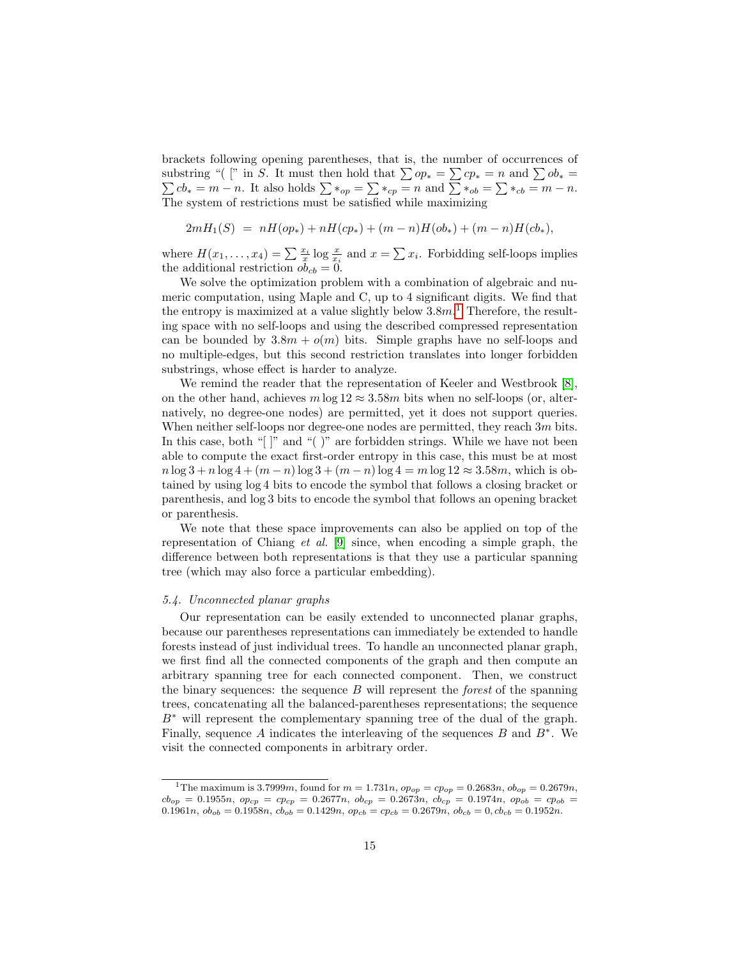brackets following opening parentheses, that is, the number of occurrences of substring "( [" in S. It must then hold that  $\sum op_* = \sum cp_* = n$  and  $\sum$  $\sum$  $ob_* =$  $cb_* = m - n$ . It also holds  $\sum *_{op} = \sum *_{cp} = n$  and  $\sum *_{ob} = \sum *_{cb} = m - n$ . The system of restrictions must be satisfied while maximizing

$$
2mH_1(S) = nH(op_*) + nH(op_*) + (m-n)H(obj_*) + (m-n)H(cb_*),
$$

where  $H(x_1,...,x_4) = \sum \frac{x_i}{x} \log \frac{x}{x_i}$  and  $x = \sum x_i$ . Forbidding self-loops implies the additional restriction  $ob_{cb} = 0$ .

We solve the optimization problem with a combination of algebraic and numeric computation, using Maple and C, up to 4 significant digits. We find that the entropy is maximized at a value slightly below  $3.8m<sup>1</sup>$  $3.8m<sup>1</sup>$  $3.8m<sup>1</sup>$ . Therefore, the resulting space with no self-loops and using the described compressed representation can be bounded by  $3.8m + o(m)$  bits. Simple graphs have no self-loops and no multiple-edges, but this second restriction translates into longer forbidden substrings, whose effect is harder to analyze.

We remind the reader that the representation of Keeler and Westbrook [\[8\]](#page-31-7), on the other hand, achieves  $m \log 12 \approx 3.58m$  bits when no self-loops (or, alternatively, no degree-one nodes) are permitted, yet it does not support queries. When neither self-loops nor degree-one nodes are permitted, they reach  $3m$  bits. In this case, both "[]" and "()" are forbidden strings. While we have not been able to compute the exact first-order entropy in this case, this must be at most  $n \log 3 + n \log 4 + (m - n) \log 3 + (m - n) \log 4 = m \log 12 \approx 3.58m$ , which is obtained by using log 4 bits to encode the symbol that follows a closing bracket or parenthesis, and log 3 bits to encode the symbol that follows an opening bracket or parenthesis.

We note that these space improvements can also be applied on top of the representation of Chiang *et al.* [\[9\]](#page-31-8) since, when encoding a simple graph, the difference between both representations is that they use a particular spanning tree (which may also force a particular embedding).

# 5.4. Unconnected planar graphs

Our representation can be easily extended to unconnected planar graphs, because our parentheses representations can immediately be extended to handle forests instead of just individual trees. To handle an unconnected planar graph, we first find all the connected components of the graph and then compute an arbitrary spanning tree for each connected component. Then, we construct the binary sequences: the sequence  $B$  will represent the *forest* of the spanning trees, concatenating all the balanced-parentheses representations; the sequence  $B^*$  will represent the complementary spanning tree of the dual of the graph. Finally, sequence A indicates the interleaving of the sequences  $B$  and  $B^*$ . We visit the connected components in arbitrary order.

<span id="page-14-0"></span><sup>&</sup>lt;sup>1</sup>The maximum is 3.7999*m*, found for  $m = 1.731n$ ,  $op_{op} = cop = 0.2683n$ ,  $ob_{op} = 0.2679n$ ,  $cb_{op} = 0.1955n$ ,  $op_{cp} = cp_{cp} = 0.2677n$ ,  $ob_{cp} = 0.2673n$ ,  $cb_{cp} = 0.1974n$ ,  $op_{ob} = cp_{ob}$ 0.1961n,  $ob_{ob} = 0.1958n$ ,  $cb_{ob} = 0.1429n$ ,  $op_{cb} = cp_{cb} = 0.2679n$ ,  $ob_{cb} = 0$ ,  $cb_{cb} = 0.1952n$ .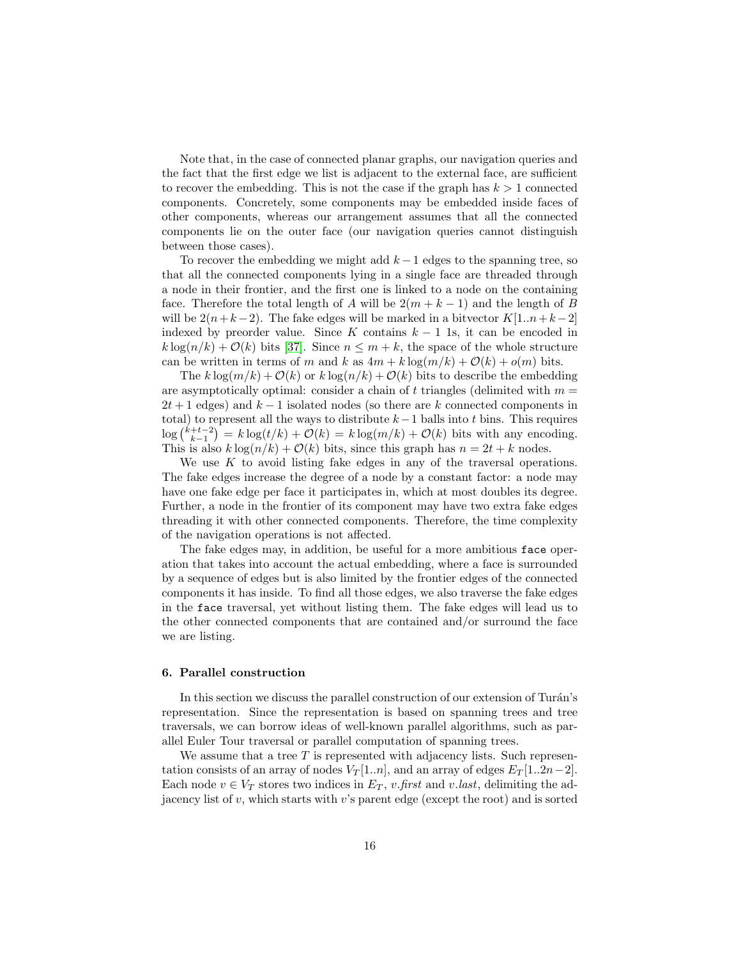Note that, in the case of connected planar graphs, our navigation queries and the fact that the first edge we list is adjacent to the external face, are sufficient to recover the embedding. This is not the case if the graph has  $k > 1$  connected components. Concretely, some components may be embedded inside faces of other components, whereas our arrangement assumes that all the connected components lie on the outer face (our navigation queries cannot distinguish between those cases).

To recover the embedding we might add  $k-1$  edges to the spanning tree, so that all the connected components lying in a single face are threaded through a node in their frontier, and the first one is linked to a node on the containing face. Therefore the total length of A will be  $2(m + k - 1)$  and the length of B will be  $2(n+k-2)$ . The fake edges will be marked in a bitvector  $K[1..n+k-2]$ indexed by preorder value. Since K contains  $k - 1$  1s, it can be encoded in  $k \log(n/k) + \mathcal{O}(k)$  bits [\[37\]](#page-33-12). Since  $n \leq m + k$ , the space of the whole structure can be written in terms of m and k as  $4m + k \log(m/k) + O(k) + o(m)$  bits.

The k  $\log(m/k) + \mathcal{O}(k)$  or k  $\log(n/k) + \mathcal{O}(k)$  bits to describe the embedding are asymptotically optimal: consider a chain of t triangles (delimited with  $m =$  $2t + 1$  edges) and  $k - 1$  isolated nodes (so there are k connected components in total) to represent all the ways to distribute  $k-1$  balls into t bins. This requires  $\log {k+t-2 \choose k-1} = k \log(t/k) + \mathcal{O}(k) = k \log(m/k) + \mathcal{O}(k)$  bits with any encoding. This is also  $k \log(n/k) + \mathcal{O}(k)$  bits, since this graph has  $n = 2t + k$  nodes.

We use  $K$  to avoid listing fake edges in any of the traversal operations. The fake edges increase the degree of a node by a constant factor: a node may have one fake edge per face it participates in, which at most doubles its degree. Further, a node in the frontier of its component may have two extra fake edges threading it with other connected components. Therefore, the time complexity of the navigation operations is not affected.

The fake edges may, in addition, be useful for a more ambitious face operation that takes into account the actual embedding, where a face is surrounded by a sequence of edges but is also limited by the frontier edges of the connected components it has inside. To find all those edges, we also traverse the fake edges in the face traversal, yet without listing them. The fake edges will lead us to the other connected components that are contained and/or surround the face we are listing.

#### <span id="page-15-0"></span>6. Parallel construction

In this section we discuss the parallel construction of our extension of Turán's representation. Since the representation is based on spanning trees and tree traversals, we can borrow ideas of well-known parallel algorithms, such as parallel Euler Tour traversal or parallel computation of spanning trees.

We assume that a tree  $T$  is represented with adjacency lists. Such representation consists of an array of nodes  $V_T[1..n]$ , and an array of edges  $E_T[1..2n-2]$ . Each node  $v \in V_T$  stores two indices in  $E_T$ , v.first and v.last, delimiting the adjacency list of  $v$ , which starts with  $v$ 's parent edge (except the root) and is sorted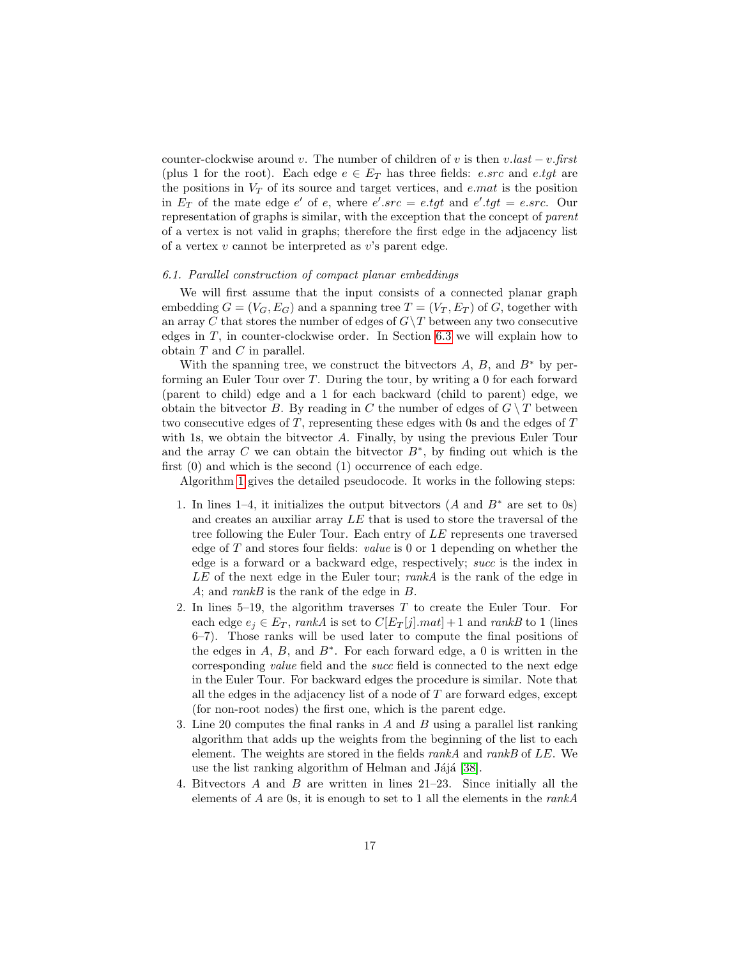counter-clockwise around v. The number of children of v is then  $v-last - v.first$ (plus 1 for the root). Each edge  $e \in E_T$  has three fields: *e.src* and *e.tgt* are the positions in  $V_T$  of its source and target vertices, and e.mat is the position in  $E_T$  of the mate edge e' of e, where e'.src = e.tgt and e'.tgt = e.src. Our representation of graphs is similar, with the exception that the concept of parent of a vertex is not valid in graphs; therefore the first edge in the adjacency list of a vertex  $v$  cannot be interpreted as  $v$ 's parent edge.

#### <span id="page-16-0"></span>6.1. Parallel construction of compact planar embeddings

We will first assume that the input consists of a connected planar graph embedding  $G = (V_G, E_G)$  and a spanning tree  $T = (V_T, E_T)$  of G, together with an array C that stores the number of edges of  $G \backslash T$  between any two consecutive edges in T, in counter-clockwise order. In Section [6.3](#page-20-0) we will explain how to obtain  $T$  and  $C$  in parallel.

With the spanning tree, we construct the bitvectors  $A, B$ , and  $B^*$  by performing an Euler Tour over T. During the tour, by writing a 0 for each forward (parent to child) edge and a 1 for each backward (child to parent) edge, we obtain the bitvector B. By reading in C the number of edges of  $G \setminus T$  between two consecutive edges of T, representing these edges with 0s and the edges of T with 1s, we obtain the bitvector A. Finally, by using the previous Euler Tour and the array C we can obtain the bitvector  $B^*$ , by finding out which is the first (0) and which is the second (1) occurrence of each edge.

Algorithm [1](#page-17-0) gives the detailed pseudocode. It works in the following steps:

- 1. In lines 1–4, it initializes the output bitvectors  $(A \text{ and } B^* \text{ are set to } 0s)$ and creates an auxiliar array LE that is used to store the traversal of the tree following the Euler Tour. Each entry of LE represents one traversed edge of T and stores four fields: value is 0 or 1 depending on whether the edge is a forward or a backward edge, respectively; succ is the index in  $LE$  of the next edge in the Euler tour; rankA is the rank of the edge in A; and rankB is the rank of the edge in  $B$ .
- 2. In lines  $5-19$ , the algorithm traverses T to create the Euler Tour. For each edge  $e_i \in E_T$ , rankA is set to  $C[E_T[j].mat] + 1$  and rankB to 1 (lines 6–7). Those ranks will be used later to compute the final positions of the edges in  $A, B$ , and  $B^*$ . For each forward edge, a 0 is written in the corresponding value field and the succ field is connected to the next edge in the Euler Tour. For backward edges the procedure is similar. Note that all the edges in the adjacency list of a node of  $T$  are forward edges, except (for non-root nodes) the first one, which is the parent edge.
- 3. Line 20 computes the final ranks in  $A$  and  $B$  using a parallel list ranking algorithm that adds up the weights from the beginning of the list to each element. The weights are stored in the fields rankA and rankB of LE. We use the list ranking algorithm of Helman and Jájá [\[38\]](#page-33-13).
- 4. Bitvectors A and B are written in lines 21–23. Since initially all the elements of  $A$  are 0s, it is enough to set to 1 all the elements in the rank $A$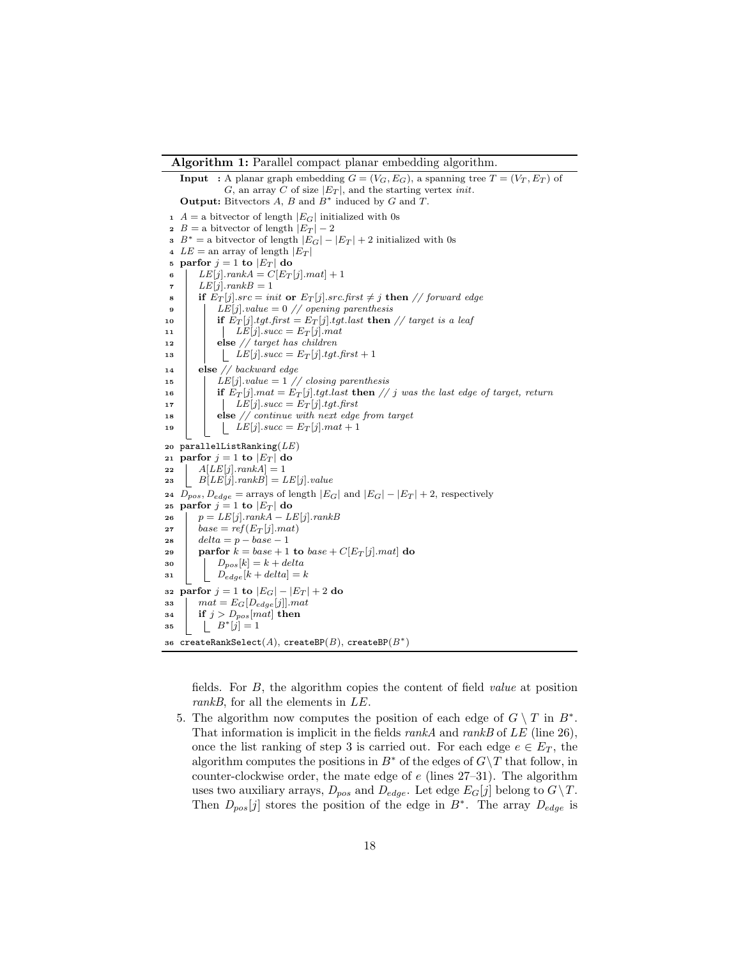#### Algorithm 1: Parallel compact planar embedding algorithm.

**Input** : A planar graph embedding  $G = (V_G, E_G)$ , a spanning tree  $T = (V_T, E_T)$  of G, an array C of size  $|E_T|$ , and the starting vertex *init*. **Output:** Bitvectors  $A$ ,  $B$  and  $B^*$  induced by  $G$  and  $T$ .  $1 A =$  a bitvector of length  $|E_G|$  initialized with 0s 2 B = a bitvector of length  $|E_T| - 2$ 3  $B^* =$  a bitvector of length  $|E_G| - |E_T| + 2$  initialized with 0s 4  $LE =$ an array of length  $|E_T|$ 5 parfor  $j = 1$  to  $|E_T|$  do 6  $LE[j].rankA = C[*E*<sub>T</sub>[j].mat] + 1$  $\tau$  |  $LE[j].rankB = 1$ 8 if  $E_T[j].src = init$  or  $E_T[j].src.first \neq j$  then // forward edge 9 |  $LE[j].value = 0 // opening parenthesis$ 10 if  $E_T[j].tgt.first = E_T[j].tgt.last$  then // target is a leaf 11 |  $LE[j].succ = E_T[j].mat$ 12 else  $//$  target has children 13  $\left| \begin{array}{c} \end{array} \right|$   $\left| \begin{array}{c} \tilde{LE}[j].succ = E_T[j].tgt.first + 1 \end{array} \right|$ <sup>14</sup> else // backward edge 15 | LE[j].value =  $1$  // closing parenthesis 16 if  $E_T[j]$ . mat =  $E_T[j]$ . tgt. last then // j was the last edge of target, return 17 |  $LE[j].succ = E_T[j].tgt.first$ 18 else // continue with next edge from target 19 | LE[j].succ =  $E_T[j]$ .mat + 1 20 parallelListRanking $(LE)$ 21 parfor  $j = 1$  to  $|E_T|$  do 22  $\left| \right|$   $A[LE[j].rank A] = 1$ 23  $B[LE[j].rankB] = LE[j].value$ 24  $D_{pos}$ ,  $D_{edge}$  = arrays of length  $|E_G|$  and  $|E_G| - |E_T| + 2$ , respectively 25 parfor  $j = 1$  to  $|E_T|$  do 26  $p = LE[j].rankA - LE[j].rankB$ 27  $base = ref(E_T[j].mat)$ 28  $delta = p - base - 1$ 29 partor  $k = base + 1$  to  $base + C[E_T[j].mat]$  do  $30$  |  $D_{pos}[k] = k + delta$ 31  $D_{edge}[k + delta] = k$ 32 parfor  $j = 1$  to  $|E_G| - |E_T| + 2$  do 33  $\mid$   $mat = E_G[D_{edge}[j]]$ . mat 34 **if**  $j > D_{pos}[mat]$  then 35  $\Big| \Big| B^*[j] = 1$ 36 createRankSelect $(A)$ , createBP $(B)$ , createBP $(B^*)$ 

<span id="page-17-0"></span>fields. For B, the algorithm copies the content of field value at position rankB, for all the elements in LE.

5. The algorithm now computes the position of each edge of  $G \setminus T$  in  $B^*$ . That information is implicit in the fields  $rankA$  and  $rankB$  of  $LE$  (line 26), once the list ranking of step 3 is carried out. For each edge  $e \in E_T$ , the algorithm computes the positions in  $B^*$  of the edges of  $G\$ T that follow, in counter-clockwise order, the mate edge of  $e$  (lines 27–31). The algorithm uses two auxiliary arrays,  $D_{pos}$  and  $D_{edge}$ . Let edge  $E_G[j]$  belong to  $G \setminus T$ . Then  $D_{pos}[j]$  stores the position of the edge in  $B^*$ . The array  $D_{edge}$  is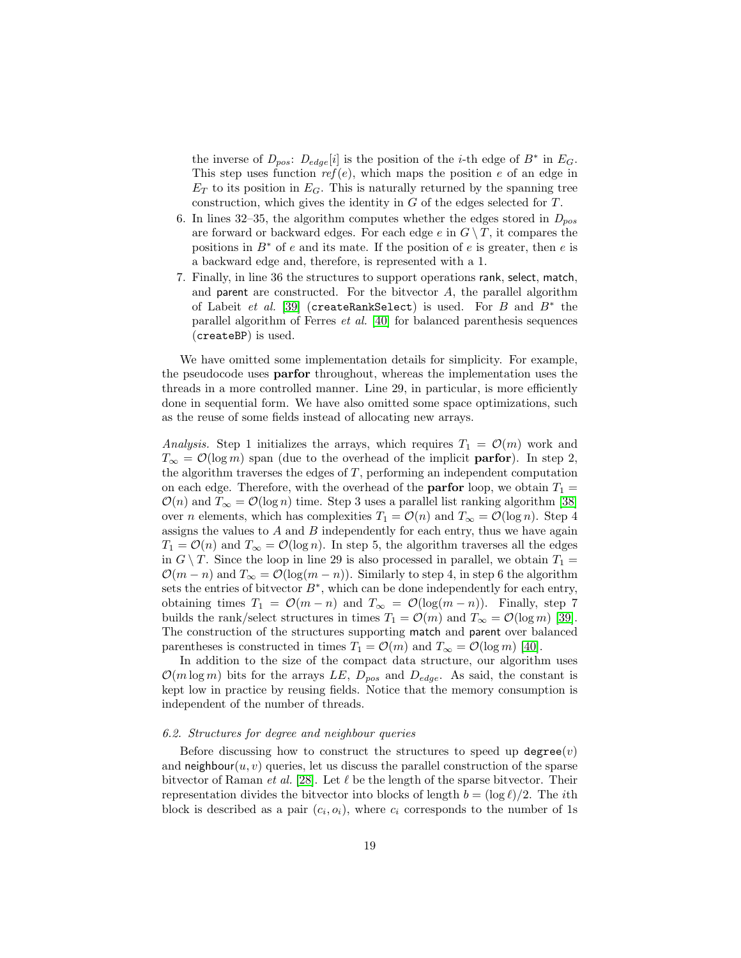the inverse of  $D_{pos}$ :  $D_{edge}[i]$  is the position of the *i*-th edge of  $B^*$  in  $E_G$ . This step uses function  $ref(e)$ , which maps the position e of an edge in  $E_T$  to its position in  $E_G$ . This is naturally returned by the spanning tree construction, which gives the identity in G of the edges selected for T.

- 6. In lines 32–35, the algorithm computes whether the edges stored in  $D_{pos}$ are forward or backward edges. For each edge e in  $G \setminus T$ , it compares the positions in  $B^*$  of e and its mate. If the position of e is greater, then e is a backward edge and, therefore, is represented with a 1.
- 7. Finally, in line 36 the structures to support operations rank, select, match, and parent are constructed. For the bitvector  $A$ , the parallel algorithm of Labeit et al. [\[39\]](#page-34-0) (createRankSelect) is used. For  $B$  and  $B^*$  the parallel algorithm of Ferres et al. [\[40\]](#page-34-1) for balanced parenthesis sequences (createBP) is used.

We have omitted some implementation details for simplicity. For example, the pseudocode uses parfor throughout, whereas the implementation uses the threads in a more controlled manner. Line 29, in particular, is more efficiently done in sequential form. We have also omitted some space optimizations, such as the reuse of some fields instead of allocating new arrays.

Analysis. Step 1 initializes the arrays, which requires  $T_1 = \mathcal{O}(m)$  work and  $T_{\infty} = \mathcal{O}(\log m)$  span (due to the overhead of the implicit **parfor**). In step 2, the algorithm traverses the edges of  $T$ , performing an independent computation on each edge. Therefore, with the overhead of the **parfor** loop, we obtain  $T_1 =$  $\mathcal{O}(n)$  and  $T_{\infty} = \mathcal{O}(\log n)$  time. Step 3 uses a parallel list ranking algorithm [\[38\]](#page-33-13) over *n* elements, which has complexities  $T_1 = \mathcal{O}(n)$  and  $T_\infty = \mathcal{O}(\log n)$ . Step 4 assigns the values to  $A$  and  $B$  independently for each entry, thus we have again  $T_1 = \mathcal{O}(n)$  and  $T_\infty = \mathcal{O}(\log n)$ . In step 5, the algorithm traverses all the edges in  $G \setminus T$ . Since the loop in line 29 is also processed in parallel, we obtain  $T_1 =$  $\mathcal{O}(m-n)$  and  $T_{\infty} = \mathcal{O}(\log(m-n))$ . Similarly to step 4, in step 6 the algorithm sets the entries of bitvector  $B^*$ , which can be done independently for each entry, obtaining times  $T_1 = \mathcal{O}(m - n)$  and  $T_\infty = \mathcal{O}(\log(m - n))$ . Finally, step 7 builds the rank/select structures in times  $T_1 = \mathcal{O}(m)$  and  $T_\infty = \mathcal{O}(\log m)$  [\[39\]](#page-34-0). The construction of the structures supporting match and parent over balanced parentheses is constructed in times  $T_1 = \mathcal{O}(m)$  and  $T_\infty = \mathcal{O}(\log m)$  [\[40\]](#page-34-1).

In addition to the size of the compact data structure, our algorithm uses  $\mathcal{O}(m \log m)$  bits for the arrays LE,  $D_{pos}$  and  $D_{edge}$ . As said, the constant is kept low in practice by reusing fields. Notice that the memory consumption is independent of the number of threads.

#### <span id="page-18-0"></span>6.2. Structures for degree and neighbour queries

Before discussing how to construct the structures to speed up  $degree(v)$ and neighbour $(u, v)$  queries, let us discuss the parallel construction of the sparse bitvector of Raman *et al.* [\[28\]](#page-33-3). Let  $\ell$  be the length of the sparse bitvector. Their representation divides the bitvector into blocks of length  $b = (\log \ell)/2$ . The *i*th block is described as a pair  $(c_i, o_i)$ , where  $c_i$  corresponds to the number of 1s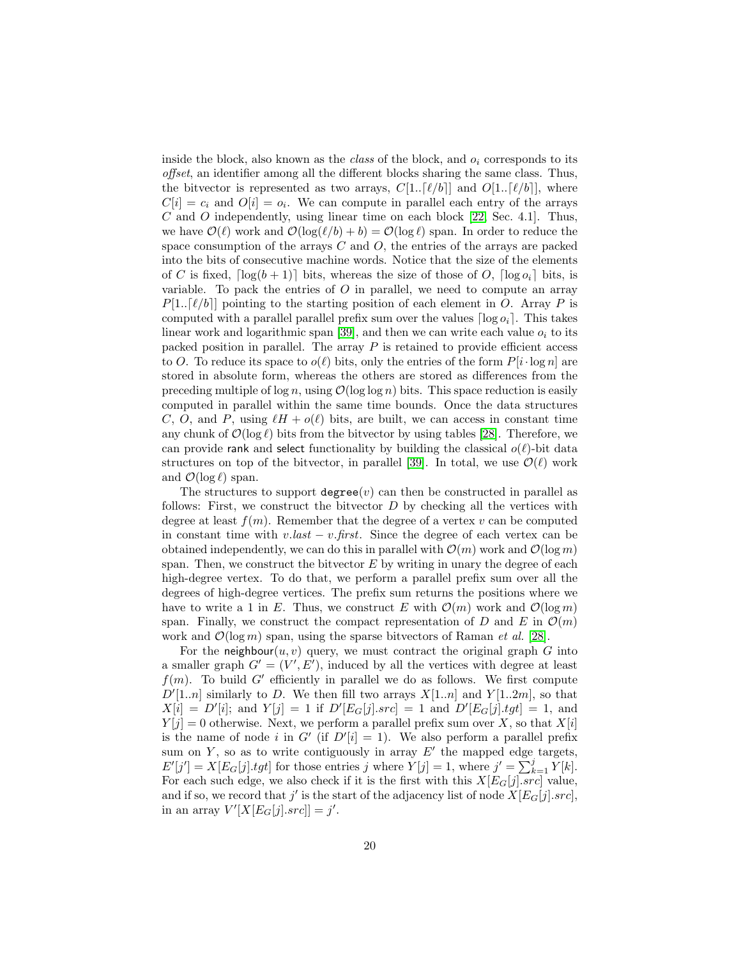inside the block, also known as the *class* of the block, and  $o_i$  corresponds to its offset, an identifier among all the different blocks sharing the same class. Thus, the bitvector is represented as two arrays,  $C[1..\lceil \ell/b \rceil]$  and  $O[1..\lceil \ell/b \rceil]$ , where  $C[i] = c_i$  and  $O[i] = o_i$ . We can compute in parallel each entry of the arrays C and O independently, using linear time on each block  $[22, Sec. 4.1]$  $[22, Sec. 4.1]$ . Thus, we have  $\mathcal{O}(\ell)$  work and  $\mathcal{O}(\log(\ell/b) + b) = \mathcal{O}(\log \ell)$  span. In order to reduce the space consumption of the arrays  $C$  and  $O$ , the entries of the arrays are packed into the bits of consecutive machine words. Notice that the size of the elements of C is fixed,  $\lceil \log(b + 1) \rceil$  bits, whereas the size of those of O,  $\lceil \log o_i \rceil$  bits, is variable. To pack the entries of  $O$  in parallel, we need to compute an array  $P[1..\lceil \ell/b \rceil]$  pointing to the starting position of each element in O. Array P is computed with a parallel parallel prefix sum over the values  $\lceil \log o_i \rceil$ . This takes linear work and logarithmic span [\[39\]](#page-34-0), and then we can write each value  $o_i$  to its packed position in parallel. The array  $P$  is retained to provide efficient access to O. To reduce its space to  $o(\ell)$  bits, only the entries of the form  $P[i \cdot \log n]$  are stored in absolute form, whereas the others are stored as differences from the preceding multiple of  $\log n$ , using  $\mathcal{O}(\log \log n)$  bits. This space reduction is easily computed in parallel within the same time bounds. Once the data structures C, O, and P, using  $\ell H + o(\ell)$  bits, are built, we can access in constant time any chunk of  $\mathcal{O}(\log \ell)$  bits from the bitvector by using tables [\[28\]](#page-33-3). Therefore, we can provide rank and select functionality by building the classical  $o(\ell)$ -bit data structures on top of the bitvector, in parallel [\[39\]](#page-34-0). In total, we use  $\mathcal{O}(\ell)$  work and  $\mathcal{O}(\log \ell)$  span.

The structures to support  $degree(v)$  can then be constructed in parallel as follows: First, we construct the bitvector  $D$  by checking all the vertices with degree at least  $f(m)$ . Remember that the degree of a vertex v can be computed in constant time with  $v-last - v.first$ . Since the degree of each vertex can be obtained independently, we can do this in parallel with  $\mathcal{O}(m)$  work and  $\mathcal{O}(\log m)$ span. Then, we construct the bitvector  $E$  by writing in unary the degree of each high-degree vertex. To do that, we perform a parallel prefix sum over all the degrees of high-degree vertices. The prefix sum returns the positions where we have to write a 1 in E. Thus, we construct E with  $\mathcal{O}(m)$  work and  $\mathcal{O}(\log m)$ span. Finally, we construct the compact representation of D and E in  $\mathcal{O}(m)$ work and  $\mathcal{O}(\log m)$  span, using the sparse bitvectors of Raman *et al.* [\[28\]](#page-33-3).

For the neighbour $(u, v)$  query, we must contract the original graph G into a smaller graph  $G' = (V', E')$ , induced by all the vertices with degree at least  $f(m)$ . To build G' efficiently in parallel we do as follows. We first compute  $D'[1..n]$  similarly to D. We then fill two arrays  $X[1..n]$  and  $Y[1..2m]$ , so that  $X[i] = D'[i];$  and  $Y[j] = 1$  if  $D'[E_G[j].src] = 1$  and  $D'[E_G[j].tgt] = 1$ , and  $Y[j] = 0$  otherwise. Next, we perform a parallel prefix sum over X, so that  $X[i]$ is the name of node i in G' (if  $D'[i] = 1$ ). We also perform a parallel prefix sum on  $Y$ , so as to write contiguously in array  $E'$  the mapped edge targets,  $E'[j'] = X[E_G[j].tgt]$  for those entries j where  $Y[j] = 1$ , where  $j' = \sum_{k=1}^{j} Y[k]$ . For each such edge, we also check if it is the first with this  $X[E_G[j].src]$  value, and if so, we record that  $j'$  is the start of the adjacency list of node  $X[E_G[j].src]$ , in an array  $V'[X[E_G[j].src]] = j'.$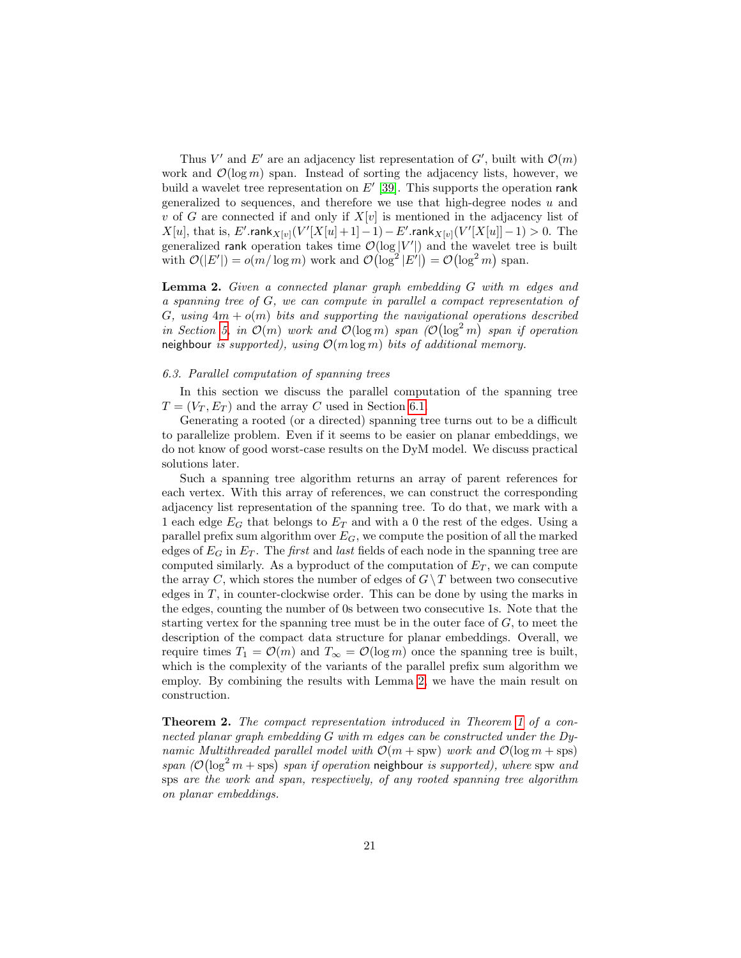Thus V' and E' are an adjacency list representation of  $G'$ , built with  $\mathcal{O}(m)$ work and  $\mathcal{O}(\log m)$  span. Instead of sorting the adjacency lists, however, we build a wavelet tree representation on  $E'$  [\[39\]](#page-34-0). This supports the operation rank generalized to sequences, and therefore we use that high-degree nodes  $u$  and v of G are connected if and only if  $X[v]$  is mentioned in the adjacency list of  $X[u]$ , that is, E'.rank $_{X[v]}(V'[X[u]+1]-1)-E'$ .rank $_{X[v]}(V'[X[u]]-1) > 0$ . The generalized rank operation takes time  $\mathcal{O}(\log |V'|)$  and the wavelet tree is built with  $\mathcal{O}(|E'|) = o(m/\log m)$  work and  $\mathcal{O}(\log^2 |E'|) = \mathcal{O}(\log^2 m)$  span.

<span id="page-20-1"></span>Lemma 2. Given a connected planar graph embedding G with m edges and a spanning tree of G, we can compute in parallel a compact representation of G, using  $4m + o(m)$  bits and supporting the navigational operations described in Section [5,](#page-7-0) in  $\mathcal{O}(m)$  work and  $\mathcal{O}(\log m)$  span  $\mathcal{O}(\log^2 m)$  span if operation neighbour is supported), using  $\mathcal{O}(m \log m)$  bits of additional memory.

# <span id="page-20-0"></span>6.3. Parallel computation of spanning trees

In this section we discuss the parallel computation of the spanning tree  $T = (V_T, E_T)$  and the array C used in Section [6.1.](#page-16-0)

Generating a rooted (or a directed) spanning tree turns out to be a difficult to parallelize problem. Even if it seems to be easier on planar embeddings, we do not know of good worst-case results on the DyM model. We discuss practical solutions later.

Such a spanning tree algorithm returns an array of parent references for each vertex. With this array of references, we can construct the corresponding adjacency list representation of the spanning tree. To do that, we mark with a 1 each edge  $E_G$  that belongs to  $E_T$  and with a 0 the rest of the edges. Using a parallel prefix sum algorithm over  $E_G$ , we compute the position of all the marked edges of  $E_G$  in  $E_T$ . The *first* and *last* fields of each node in the spanning tree are computed similarly. As a byproduct of the computation of  $E_T$ , we can compute the array C, which stores the number of edges of  $G \setminus T$  between two consecutive edges in  $T$ , in counter-clockwise order. This can be done by using the marks in the edges, counting the number of 0s between two consecutive 1s. Note that the starting vertex for the spanning tree must be in the outer face of  $G$ , to meet the description of the compact data structure for planar embeddings. Overall, we require times  $T_1 = \mathcal{O}(m)$  and  $T_\infty = \mathcal{O}(\log m)$  once the spanning tree is built, which is the complexity of the variants of the parallel prefix sum algorithm we employ. By combining the results with Lemma [2,](#page-20-1) we have the main result on construction.

Theorem 2. The compact representation introduced in Theorem [1](#page-12-0) of a connected planar graph embedding G with m edges can be constructed under the Dynamic Multithreaded parallel model with  $\mathcal{O}(m + spw)$  work and  $\mathcal{O}(\log m + sps)$ span  $(\mathcal{O}(\log^2 m + \text{sps})$  span if operation neighbour is supported), where spw and sps are the work and span, respectively, of any rooted spanning tree algorithm on planar embeddings.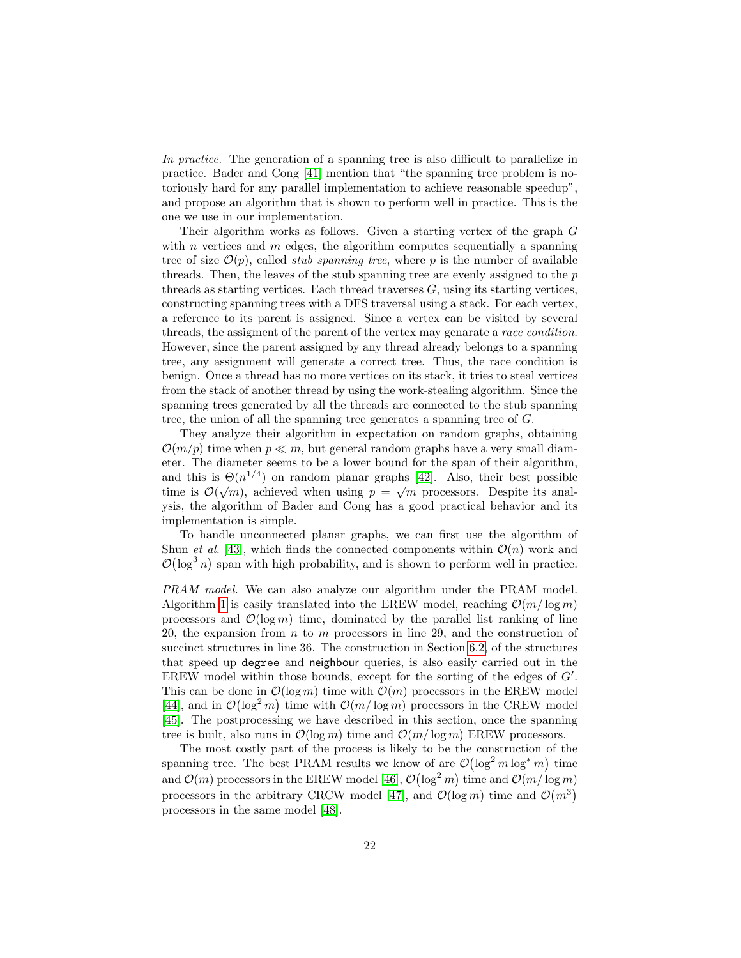In practice. The generation of a spanning tree is also difficult to parallelize in practice. Bader and Cong [\[41\]](#page-34-2) mention that "the spanning tree problem is notoriously hard for any parallel implementation to achieve reasonable speedup", and propose an algorithm that is shown to perform well in practice. This is the one we use in our implementation.

Their algorithm works as follows. Given a starting vertex of the graph G with *n* vertices and *m* edges, the algorithm computes sequentially a spanning tree of size  $\mathcal{O}(p)$ , called *stub spanning tree*, where p is the number of available threads. Then, the leaves of the stub spanning tree are evenly assigned to the  $p$ threads as starting vertices. Each thread traverses  $G$ , using its starting vertices, constructing spanning trees with a DFS traversal using a stack. For each vertex, a reference to its parent is assigned. Since a vertex can be visited by several threads, the assigment of the parent of the vertex may genarate a race condition. However, since the parent assigned by any thread already belongs to a spanning tree, any assignment will generate a correct tree. Thus, the race condition is benign. Once a thread has no more vertices on its stack, it tries to steal vertices from the stack of another thread by using the work-stealing algorithm. Since the spanning trees generated by all the threads are connected to the stub spanning tree, the union of all the spanning tree generates a spanning tree of G.

They analyze their algorithm in expectation on random graphs, obtaining  $\mathcal{O}(m/p)$  time when  $p \ll m$ , but general random graphs have a very small diameter. The diameter seems to be a lower bound for the span of their algorithm, and this is  $\Theta(n^{1/4})$  on random planar graphs [\[42\]](#page-34-3). Also, their best possible time is  $\mathcal{O}(\sqrt{m})$ , achieved when using  $p = \sqrt{m}$  processors. Despite its analysis, the algorithm of Bader and Cong has a good practical behavior and its implementation is simple.

To handle unconnected planar graphs, we can first use the algorithm of Shun *et al.* [\[43\]](#page-34-4), which finds the connected components within  $\mathcal{O}(n)$  work and  $\mathcal{O}(\log^3 n)$  span with high probability, and is shown to perform well in practice.

PRAM model. We can also analyze our algorithm under the PRAM model. Algorithm [1](#page-17-0) is easily translated into the EREW model, reaching  $\mathcal{O}(m/\log m)$ processors and  $\mathcal{O}(\log m)$  time, dominated by the parallel list ranking of line 20, the expansion from  $n \times m$  processors in line 29, and the construction of succinct structures in line 36. The construction in Section [6.2,](#page-18-0) of the structures that speed up degree and neighbour queries, is also easily carried out in the EREW model within those bounds, except for the sorting of the edges of  $G'$ . This can be done in  $\mathcal{O}(\log m)$  time with  $\mathcal{O}(m)$  processors in the EREW model [\[44\]](#page-34-5), and in  $\mathcal{O}(\log^2 m)$  time with  $\mathcal{O}(m/\log m)$  processors in the CREW model [\[45\]](#page-34-6). The postprocessing we have described in this section, once the spanning tree is built, also runs in  $\mathcal{O}(\log m)$  time and  $\mathcal{O}(m/\log m)$  EREW processors.

The most costly part of the process is likely to be the construction of the spanning tree. The best PRAM results we know of are  $\mathcal{O}(\log^2 m \log^* m)$  time and  $\mathcal{O}(m)$  processors in the EREW model [\[46\]](#page-34-7),  $\mathcal{O}(\log^2 m)$  time and  $\mathcal{O}(m/\log m)$ processors in the arbitrary CRCW model [\[47\]](#page-34-8), and  $\mathcal{O}(\log m)$  time and  $\mathcal{O}(m^3)$ processors in the same model [\[48\]](#page-34-9).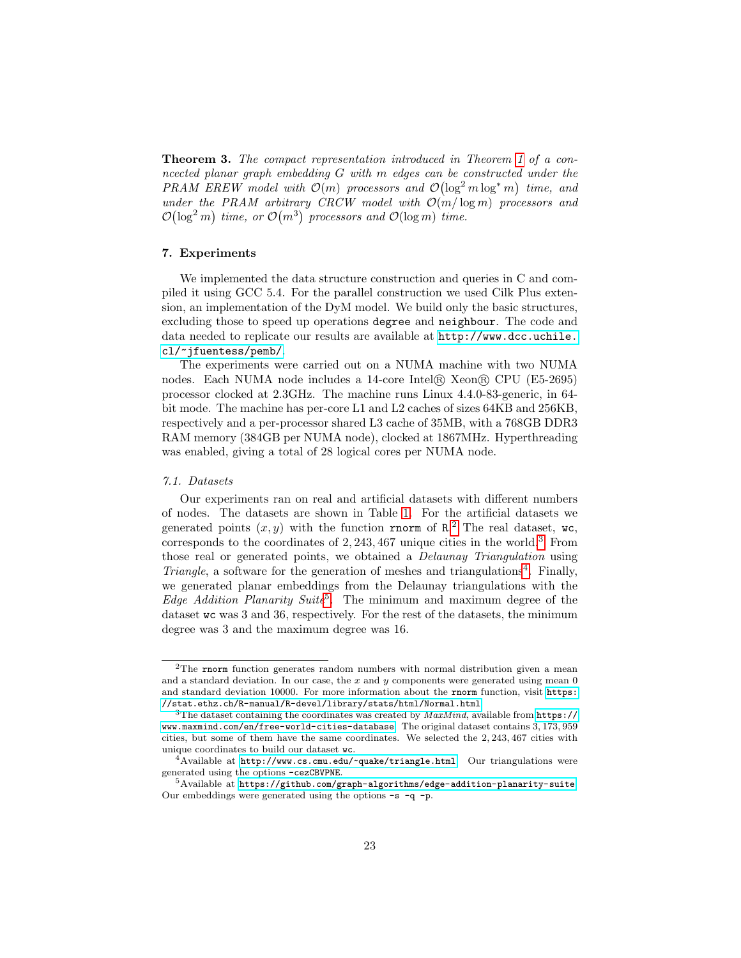**Theorem 3.** The compact representation introduced in Theorem [1](#page-12-0) of a conncected planar graph embedding G with m edges can be constructed under the PRAM EREW model with  $\mathcal{O}(m)$  processors and  $\mathcal{O}(\log^2 m \log^* m)$  time, and under the PRAM arbitrary CRCW model with  $\mathcal{O}(m/\log m)$  processors and  $\mathcal{O}(\log^2 m)$  time, or  $\mathcal{O}(m^3)$  processors and  $\mathcal{O}(\log m)$  time.

# <span id="page-22-0"></span>7. Experiments

We implemented the data structure construction and queries in C and compiled it using GCC 5.4. For the parallel construction we used Cilk Plus extension, an implementation of the DyM model. We build only the basic structures, excluding those to speed up operations degree and neighbour. The code and data needed to replicate our results are available at [http://www.dcc.uchile.](http://www.dcc.uchile.cl/~jfuentess/pemb/) [cl/~jfuentess/pemb/](http://www.dcc.uchile.cl/~jfuentess/pemb/).

The experiments were carried out on a NUMA machine with two NUMA nodes. Each NUMA node includes a 14-core Intel <sup>R</sup> Xeon <sup>R</sup> CPU (E5-2695) processor clocked at 2.3GHz. The machine runs Linux 4.4.0-83-generic, in 64 bit mode. The machine has per-core L1 and L2 caches of sizes 64KB and 256KB, respectively and a per-processor shared L3 cache of 35MB, with a 768GB DDR3 RAM memory (384GB per NUMA node), clocked at 1867MHz. Hyperthreading was enabled, giving a total of 28 logical cores per NUMA node.

#### 7.1. Datasets

Our experiments ran on real and artificial datasets with different numbers of nodes. The datasets are shown in Table [1.](#page-23-0) For the artificial datasets we generated points  $(x, y)$  with the function rnorm of R.<sup>[2](#page-22-1)</sup> The real dataset, wc, corresponds to the coordinates of 2, 243, 467 unique cities in the world.[3](#page-22-2) From those real or generated points, we obtained a Delaunay Triangulation using Triangle, a software for the generation of meshes and triangulations<sup>[4](#page-22-3)</sup>. Finally, we generated planar embeddings from the Delaunay triangulations with the *Edge Addition Planarity Suite*<sup>[5](#page-22-4)</sup>. The minimum and maximum degree of the dataset wc was 3 and 36, respectively. For the rest of the datasets, the minimum degree was 3 and the maximum degree was 16.

<span id="page-22-1"></span><sup>2</sup>The rnorm function generates random numbers with normal distribution given a mean and a standard deviation. In our case, the  $x$  and  $y$  components were generated using mean  $0$ and standard deviation 10000. For more information about the rnorm function, visit [https:](https://stat.ethz.ch/R-manual/R-devel/library/stats/html/Normal.html) [//stat.ethz.ch/R-manual/R-devel/library/stats/html/Normal.html](https://stat.ethz.ch/R-manual/R-devel/library/stats/html/Normal.html)

<span id="page-22-2"></span><sup>&</sup>lt;sup>3</sup>The dataset containing the coordinates was created by  $MaxMind$ , available from [https://](https://www.maxmind.com/en/free-world-cities-database) [www.maxmind.com/en/free-world-cities-database](https://www.maxmind.com/en/free-world-cities-database). The original dataset contains 3, 173, 959 cities, but some of them have the same coordinates. We selected the 2, 243, 467 cities with unique coordinates to build our dataset wc.

<span id="page-22-3"></span> $4$ Available at [http://www.cs.cmu.edu/~quake/triangle.html]( http://www.cs.cmu.edu/~quake/triangle.html). Our triangulations were generated using the options -cezCBVPNE.

<span id="page-22-4"></span> $5A$ vailable at <https://github.com/graph-algorithms/edge-addition-planarity-suite>. Our embeddings were generated using the options  $-s$   $-q$   $-p$ .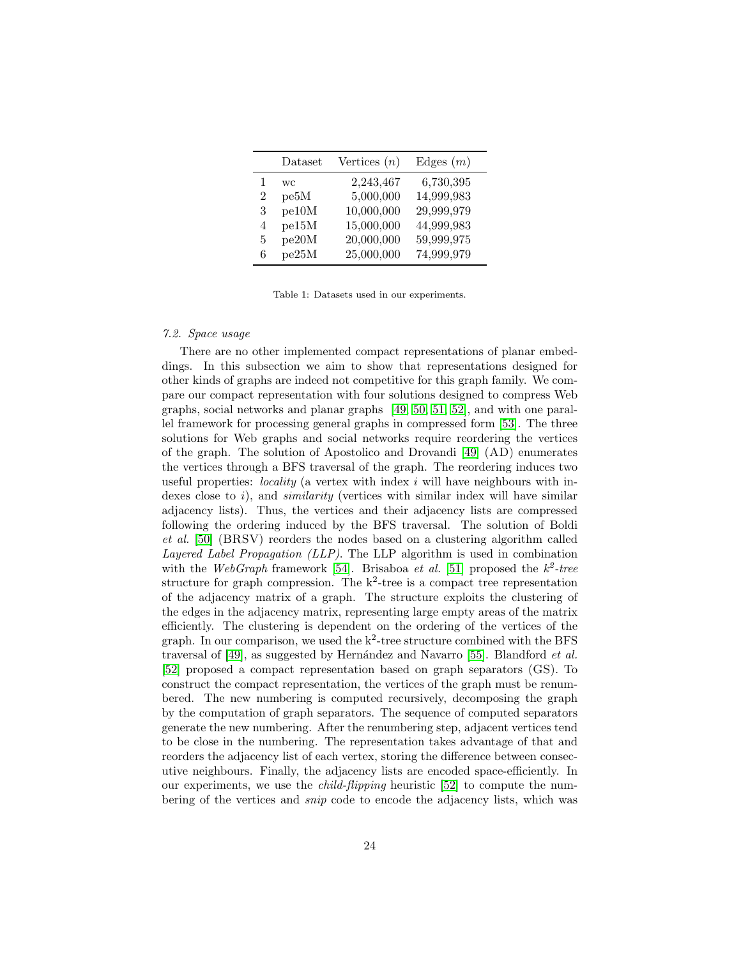<span id="page-23-0"></span>

|   | Dataset | Vertices $(n)$ | Edges $(m)$ |
|---|---------|----------------|-------------|
|   | WC.     | 2,243,467      | 6,730,395   |
| 2 | pe5M    | 5,000,000      | 14,999,983  |
| 3 | pe10M   | 10,000,000     | 29,999,979  |
| 4 | pe15M   | 15,000,000     | 44,999,983  |
| 5 | pe20M   | 20,000,000     | 59,999,975  |
| 6 | pe25M   | 25,000,000     | 74,999,979  |

Table 1: Datasets used in our experiments.

# 7.2. Space usage

There are no other implemented compact representations of planar embeddings. In this subsection we aim to show that representations designed for other kinds of graphs are indeed not competitive for this graph family. We compare our compact representation with four solutions designed to compress Web graphs, social networks and planar graphs [\[49,](#page-34-10) [50,](#page-34-11) [51,](#page-34-12) [52\]](#page-34-13), and with one parallel framework for processing general graphs in compressed form [\[53\]](#page-35-0). The three solutions for Web graphs and social networks require reordering the vertices of the graph. The solution of Apostolico and Drovandi [\[49\]](#page-34-10) (AD) enumerates the vertices through a BFS traversal of the graph. The reordering induces two useful properties: *locality* (a vertex with index  $i$  will have neighbours with indexes close to i), and *similarity* (vertices with similar index will have similar adjacency lists). Thus, the vertices and their adjacency lists are compressed following the ordering induced by the BFS traversal. The solution of Boldi et al. [\[50\]](#page-34-11) (BRSV) reorders the nodes based on a clustering algorithm called Layered Label Propagation (LLP). The LLP algorithm is used in combination with the WebGraph framework [\[54\]](#page-35-1). Brisaboa et al. [\[51\]](#page-34-12) proposed the  $k^2$ -tree structure for graph compression. The  $k^2$ -tree is a compact tree representation of the adjacency matrix of a graph. The structure exploits the clustering of the edges in the adjacency matrix, representing large empty areas of the matrix efficiently. The clustering is dependent on the ordering of the vertices of the graph. In our comparison, we used the  $k^2$ -tree structure combined with the BFS traversal of  $[49]$ , as suggested by Hernández and Navarro  $[55]$ . Blandford *et al.* [\[52\]](#page-34-13) proposed a compact representation based on graph separators (GS). To construct the compact representation, the vertices of the graph must be renumbered. The new numbering is computed recursively, decomposing the graph by the computation of graph separators. The sequence of computed separators generate the new numbering. After the renumbering step, adjacent vertices tend to be close in the numbering. The representation takes advantage of that and reorders the adjacency list of each vertex, storing the difference between consecutive neighbours. Finally, the adjacency lists are encoded space-efficiently. In our experiments, we use the child-flipping heuristic [\[52\]](#page-34-13) to compute the numbering of the vertices and snip code to encode the adjacency lists, which was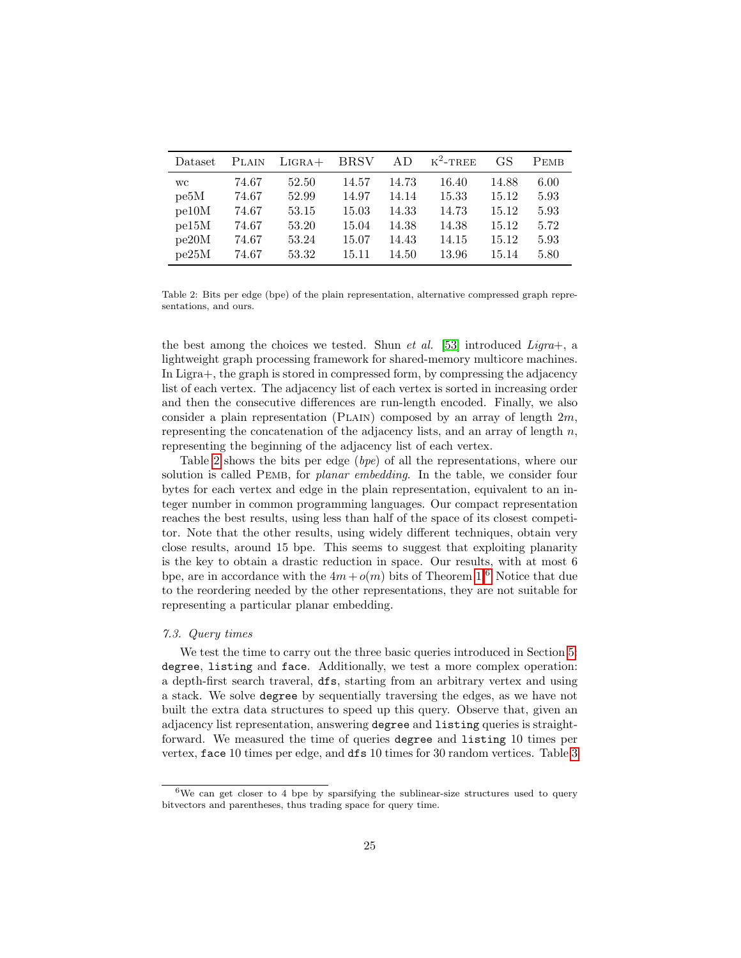<span id="page-24-0"></span>

| Dataset   | <b>PLAIN</b> | $LIGRA+$ | <b>BRSV</b> | AD.   | $K^2$ -TREE | GS    | <b>PEMB</b> |
|-----------|--------------|----------|-------------|-------|-------------|-------|-------------|
| <b>WC</b> | 74.67        | 52.50    | 14.57       | 14.73 | 16.40       | 14.88 | 6.00        |
| pe5M      | 74.67        | 52.99    | 14.97       | 14.14 | 15.33       | 15.12 | 5.93        |
| pe10M     | 74.67        | 53.15    | 15.03       | 14.33 | 14.73       | 15.12 | 5.93        |
| pe15M     | 74.67        | 53.20    | 15.04       | 14.38 | 14.38       | 15.12 | 5.72        |
| pe20M     | 74.67        | 53.24    | 15.07       | 14.43 | 14.15       | 15.12 | 5.93        |
| pe25M     | 74.67        | 53.32    | 15.11       | 14.50 | 13.96       | 15.14 | 5.80        |

Table 2: Bits per edge (bpe) of the plain representation, alternative compressed graph representations, and ours.

the best among the choices we tested. Shun *et al.* [\[53\]](#page-35-0) introduced *Ligra*+, a lightweight graph processing framework for shared-memory multicore machines. In Ligra+, the graph is stored in compressed form, by compressing the adjacency list of each vertex. The adjacency list of each vertex is sorted in increasing order and then the consecutive differences are run-length encoded. Finally, we also consider a plain representation (PLAIN) composed by an array of length  $2m$ , representing the concatenation of the adjacency lists, and an array of length  $n$ , representing the beginning of the adjacency list of each vertex.

Table [2](#page-24-0) shows the bits per edge (bpe) of all the representations, where our solution is called PEMB, for *planar embedding*. In the table, we consider four bytes for each vertex and edge in the plain representation, equivalent to an integer number in common programming languages. Our compact representation reaches the best results, using less than half of the space of its closest competitor. Note that the other results, using widely different techniques, obtain very close results, around 15 bpe. This seems to suggest that exploiting planarity is the key to obtain a drastic reduction in space. Our results, with at most 6 bpe, are in accordance with the  $4m + o(m)$  bits of Theorem [1.](#page-12-0)<sup>[6](#page-24-1)</sup> Notice that due to the reordering needed by the other representations, they are not suitable for representing a particular planar embedding.

#### 7.3. Query times

We test the time to carry out the three basic queries introduced in Section [5:](#page-7-0) degree, listing and face. Additionally, we test a more complex operation: a depth-first search traveral, dfs, starting from an arbitrary vertex and using a stack. We solve degree by sequentially traversing the edges, as we have not built the extra data structures to speed up this query. Observe that, given an adjacency list representation, answering degree and listing queries is straightforward. We measured the time of queries degree and listing 10 times per vertex, face 10 times per edge, and dfs 10 times for 30 random vertices. Table [3](#page-25-0)

<span id="page-24-1"></span><sup>6</sup>We can get closer to 4 bpe by sparsifying the sublinear-size structures used to query bitvectors and parentheses, thus trading space for query time.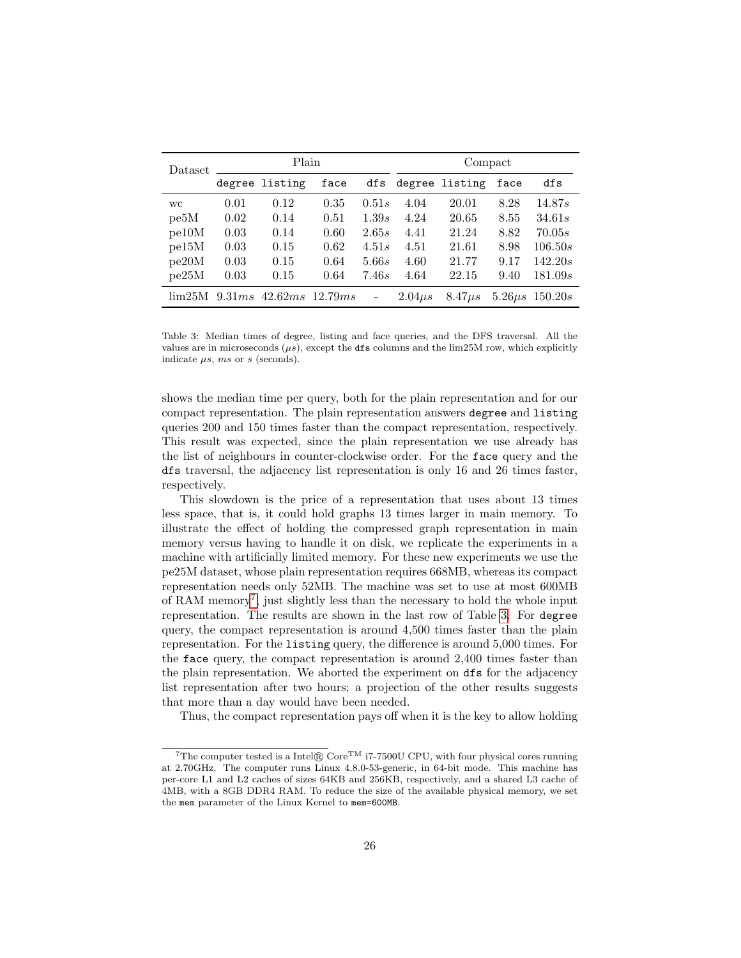<span id="page-25-0"></span>

| Dataset           | Plain  |                   |      |                          | Compact     |                |      |                      |
|-------------------|--------|-------------------|------|--------------------------|-------------|----------------|------|----------------------|
|                   |        | degree listing    | face | dfs                      |             | degree listing | face | dfs                  |
| <b>WC</b>         | 0.01   | 0.12              | 0.35 | 0.51s                    | 4.04        | 20.01          | 8.28 | 14.87s               |
| pe <sub>5</sub> M | 0.02   | 0.14              | 0.51 | 1.39s                    | 4.24        | 20.65          | 8.55 | 34.61s               |
| pe10M             | 0.03   | 0.14              | 0.60 | 2.65s                    | 4.41        | 21.24          | 8.82 | 70.05s               |
| pe15M             | 0.03   | 0.15              | 0.62 | 4.51s                    | 4.51        | 21.61          | 8.98 | 106.50s              |
| pe20M             | 0.03   | 0.15              | 0.64 | 5.66s                    | 4.60        | 21.77          | 9.17 | 142.20s              |
| pe25M             | 0.03   | 0.15              | 0.64 | 7.46s                    | 4.64        | 22.15          | 9.40 | 181.09s              |
| lim25M            | 9.31ms | $42.62ms$ 12.79ms |      | $\overline{\phantom{a}}$ | $2.04\mu s$ | $8.47\mu s$    |      | $5.26 \mu s$ 150.20s |

Table 3: Median times of degree, listing and face queries, and the DFS traversal. All the values are in microseconds  $(\mu s)$ , except the dfs columns and the lim25M row, which explicitly indicate  $\mu s$ ,  $ms$  or  $s$  (seconds).

shows the median time per query, both for the plain representation and for our compact representation. The plain representation answers degree and listing queries 200 and 150 times faster than the compact representation, respectively. This result was expected, since the plain representation we use already has the list of neighbours in counter-clockwise order. For the face query and the dfs traversal, the adjacency list representation is only 16 and 26 times faster, respectively.

This slowdown is the price of a representation that uses about 13 times less space, that is, it could hold graphs 13 times larger in main memory. To illustrate the effect of holding the compressed graph representation in main memory versus having to handle it on disk, we replicate the experiments in a machine with artificially limited memory. For these new experiments we use the pe25M dataset, whose plain representation requires 668MB, whereas its compact representation needs only 52MB. The machine was set to use at most 600MB of RAM memory<sup>[7](#page-25-1)</sup>, just slightly less than the necessary to hold the whole input representation. The results are shown in the last row of Table [3.](#page-25-0) For degree query, the compact representation is around 4,500 times faster than the plain representation. For the listing query, the difference is around 5,000 times. For the face query, the compact representation is around 2,400 times faster than the plain representation. We aborted the experiment on dfs for the adjacency list representation after two hours; a projection of the other results suggests that more than a day would have been needed.

Thus, the compact representation pays off when it is the key to allow holding

<span id="page-25-1"></span><sup>&</sup>lt;sup>7</sup>The computer tested is a Intel® Core<sup>TM</sup> i7-7500U CPU, with four physical cores running at 2.70GHz. The computer runs Linux 4.8.0-53-generic, in 64-bit mode. This machine has per-core L1 and L2 caches of sizes 64KB and 256KB, respectively, and a shared L3 cache of 4MB, with a 8GB DDR4 RAM. To reduce the size of the available physical memory, we set the mem parameter of the Linux Kernel to mem=600MB.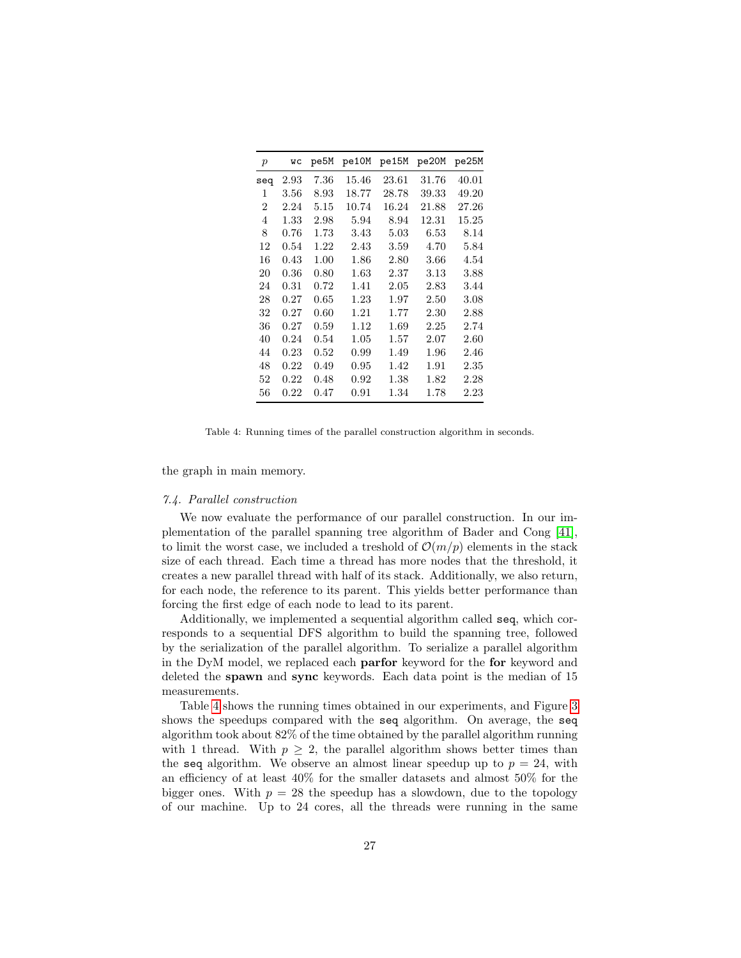<span id="page-26-0"></span>

| $\boldsymbol{p}$ | WС         | pe5M     | pe10M    | pe15M    | pe20M | pe25M    |
|------------------|------------|----------|----------|----------|-------|----------|
| seq              | $2.93\,$   | $7.36\,$ | 15.46    | 23.61    | 31.76 | 40.01    |
| 1                | $3.56\,$   | 8.93     | 18.77    | 28.78    | 39.33 | 49.20    |
| 2                | 2.24       | $5.15\,$ | 10.74    | 16.24    | 21.88 | 27.26    |
| 4                | $1.33\,$   | 2.98     | 5.94     | 8.94     | 12.31 | 15.25    |
| 8                | 0.76       | 1.73     | 3.43     | $5.03\,$ | 6.53  | 8.14     |
| 12               | 0.54       | 1.22     | 2.43     | 3.59     | 4.70  | 5.84     |
| 16               | $0.43\,$   | 1.00     | $1.86\,$ | 2.80     | 3.66  | 4.54     |
| 20               | $\rm 0.36$ | 0.80     | $1.63\,$ | 2.37     | 3.13  | 3.88     |
| 24               | 0.31       | 0.72     | 1.41     | 2.05     | 2.83  | 3.44     |
| 28               | 0.27       | 0.65     | 1.23     | 1.97     | 2.50  | 3.08     |
| 32               | 0.27       | 0.60     | 1.21     | 1.77     | 2.30  | 2.88     |
| 36               | 0.27       | 0.59     | 1.12     | 1.69     | 2.25  | 2.74     |
| 40               | 0.24       | 0.54     | 1.05     | 1.57     | 2.07  | $2.60\,$ |
| 44               | $\rm 0.23$ | 0.52     | 0.99     | 1.49     | 1.96  | 2.46     |
| 48               | $0.22\,$   | 0.49     | 0.95     | 1.42     | 1.91  | 2.35     |
| 52               | $0.22\,$   | 0.48     | 0.92     | 1.38     | 1.82  | 2.28     |
| 56               | $0.22\,$   | 0.47     | 0.91     | 1.34     | 1.78  | 2.23     |

Table 4: Running times of the parallel construction algorithm in seconds.

the graph in main memory.

#### 7.4. Parallel construction

We now evaluate the performance of our parallel construction. In our implementation of the parallel spanning tree algorithm of Bader and Cong [\[41\]](#page-34-2), to limit the worst case, we included a treshold of  $\mathcal{O}(m/p)$  elements in the stack size of each thread. Each time a thread has more nodes that the threshold, it creates a new parallel thread with half of its stack. Additionally, we also return, for each node, the reference to its parent. This yields better performance than forcing the first edge of each node to lead to its parent.

Additionally, we implemented a sequential algorithm called seq, which corresponds to a sequential DFS algorithm to build the spanning tree, followed by the serialization of the parallel algorithm. To serialize a parallel algorithm in the DyM model, we replaced each parfor keyword for the for keyword and deleted the spawn and sync keywords. Each data point is the median of 15 measurements.

Table [4](#page-26-0) shows the running times obtained in our experiments, and Figure [3](#page-27-0) shows the speedups compared with the seq algorithm. On average, the seq algorithm took about 82% of the time obtained by the parallel algorithm running with 1 thread. With  $p \geq 2$ , the parallel algorithm shows better times than the seq algorithm. We observe an almost linear speedup up to  $p = 24$ , with an efficiency of at least 40% for the smaller datasets and almost 50% for the bigger ones. With  $p = 28$  the speedup has a slowdown, due to the topology of our machine. Up to 24 cores, all the threads were running in the same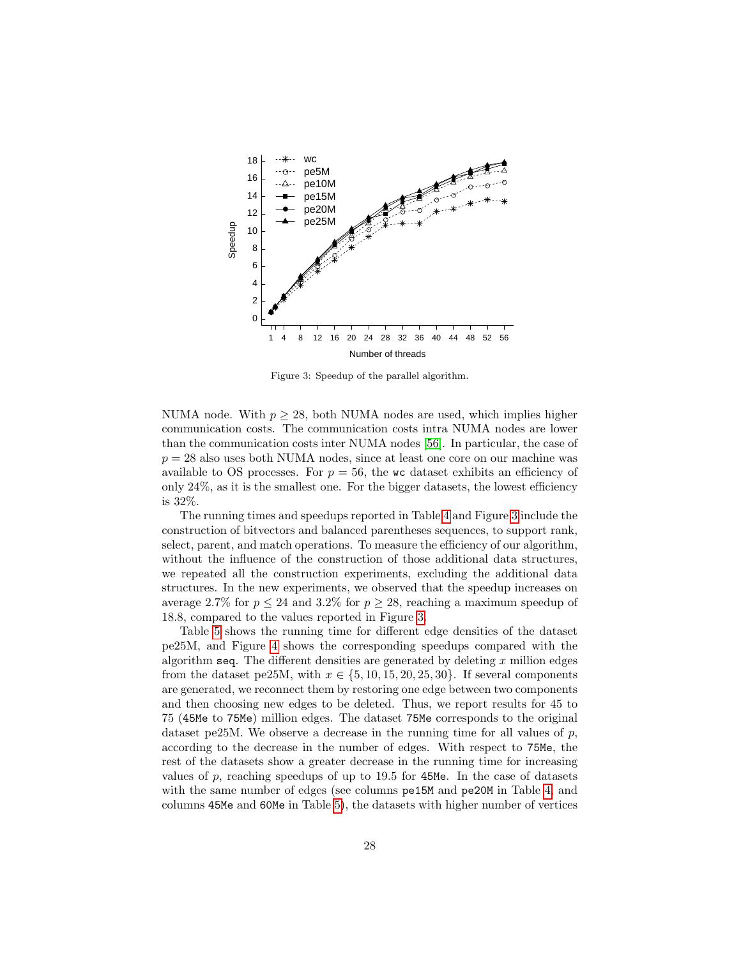<span id="page-27-0"></span>

Figure 3: Speedup of the parallel algorithm.

NUMA node. With  $p > 28$ , both NUMA nodes are used, which implies higher communication costs. The communication costs intra NUMA nodes are lower than the communication costs inter NUMA nodes [\[56\]](#page-35-3). In particular, the case of  $p = 28$  also uses both NUMA nodes, since at least one core on our machine was available to OS processes. For  $p = 56$ , the wc dataset exhibits an efficiency of only  $24\%$ , as it is the smallest one. For the bigger datasets, the lowest efficiency is 32%.

The running times and speedups reported in Table [4](#page-26-0) and Figure [3](#page-27-0) include the construction of bitvectors and balanced parentheses sequences, to support rank, select, parent, and match operations. To measure the efficiency of our algorithm, without the influence of the construction of those additional data structures, we repeated all the construction experiments, excluding the additional data structures. In the new experiments, we observed that the speedup increases on average 2.7% for  $p \le 24$  and 3.2% for  $p \ge 28$ , reaching a maximum speedup of 18.8, compared to the values reported in Figure [3.](#page-27-0)

Table [5](#page-28-0) shows the running time for different edge densities of the dataset pe25M, and Figure [4](#page-29-1) shows the corresponding speedups compared with the algorithm seq. The different densities are generated by deleting  $x$  million edges from the dataset pe25M, with  $x \in \{5, 10, 15, 20, 25, 30\}$ . If several components are generated, we reconnect them by restoring one edge between two components and then choosing new edges to be deleted. Thus, we report results for 45 to 75 (45Me to 75Me) million edges. The dataset 75Me corresponds to the original dataset pe25M. We observe a decrease in the running time for all values of  $p$ , according to the decrease in the number of edges. With respect to 75Me, the rest of the datasets show a greater decrease in the running time for increasing values of  $p$ , reaching speedups of up to 19.5 for 45Me. In the case of datasets with the same number of edges (see columns pe15M and pe20M in Table [4,](#page-26-0) and columns 45Me and 60Me in Table [5\)](#page-28-0), the datasets with higher number of vertices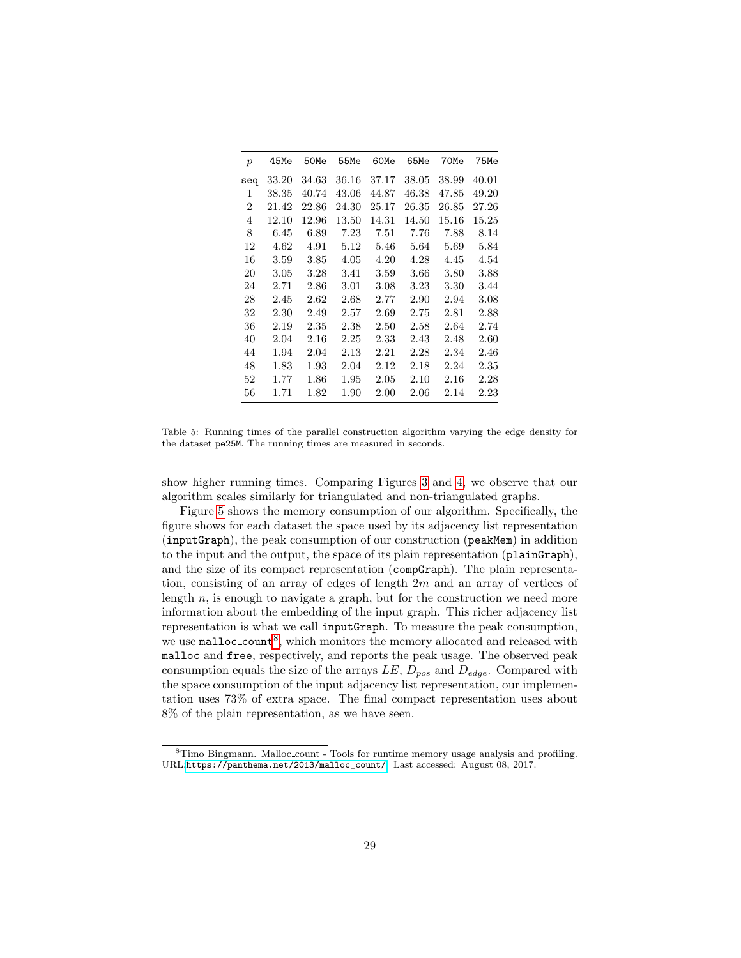<span id="page-28-0"></span>

| $\boldsymbol{p}$ | 45Me     | 50Me  | 55Me     | 60Me     | 65Me     | 70Me  | 75Me  |
|------------------|----------|-------|----------|----------|----------|-------|-------|
| seq              | 33.20    | 34.63 | 36.16    | 37.17    | 38.05    | 38.99 | 40.01 |
| 1                | 38.35    | 40.74 | 43.06    | 44.87    | 46.38    | 47.85 | 49.20 |
| $\overline{2}$   | 21.42    | 22.86 | 24.30    | 25.17    | 26.35    | 26.85 | 27.26 |
| 4                | 12.10    | 12.96 | 13.50    | 14.31    | 14.50    | 15.16 | 15.25 |
| 8                | 6.45     | 6.89  | 7.23     | 7.51     | 7.76     | 7.88  | 8.14  |
| 12               | 4.62     | 4.91  | 5.12     | 5.46     | 5.64     | 5.69  | 5.84  |
| 16               | 3.59     | 3.85  | 4.05     | 4.20     | 4.28     | 4.45  | 4.54  |
| 20               | $3.05\,$ | 3.28  | 3.41     | 3.59     | $3.66\,$ | 3.80  | 3.88  |
| 24               | 2.71     | 2.86  | 3.01     | 3.08     | 3.23     | 3.30  | 3.44  |
| 28               | 2.45     | 2.62  | 2.68     | 2.77     | $2.90\,$ | 2.94  | 3.08  |
| 32               | 2.30     | 2.49  | $2.57\,$ | 2.69     | 2.75     | 2.81  | 2.88  |
| 36               | 2.19     | 2.35  | $2.38\,$ | 2.50     | $2.58\,$ | 2.64  | 2.74  |
| 40               | 2.04     | 2.16  | $2.25\,$ | 2.33     | 2.43     | 2.48  | 2.60  |
| 44               | 1.94     | 2.04  | $2.13\,$ | 2.21     | 2.28     | 2.34  | 2.46  |
| 48               | 1.83     | 1.93  | 2.04     | 2.12     | 2.18     | 2.24  | 2.35  |
| 52               | 1.77     | 1.86  | 1.95     | 2.05     | 2.10     | 2.16  | 2.28  |
| 56               | 1.71     | 1.82  | 1.90     | $2.00\,$ | $2.06\,$ | 2.14  | 2.23  |

Table 5: Running times of the parallel construction algorithm varying the edge density for the dataset pe25M. The running times are measured in seconds.

show higher running times. Comparing Figures [3](#page-27-0) and [4,](#page-29-1) we observe that our algorithm scales similarly for triangulated and non-triangulated graphs.

Figure [5](#page-29-2) shows the memory consumption of our algorithm. Specifically, the figure shows for each dataset the space used by its adjacency list representation (inputGraph), the peak consumption of our construction (peakMem) in addition to the input and the output, the space of its plain representation (plainGraph), and the size of its compact representation (compGraph). The plain representation, consisting of an array of edges of length 2m and an array of vertices of length  $n$ , is enough to navigate a graph, but for the construction we need more information about the embedding of the input graph. This richer adjacency list representation is what we call inputGraph. To measure the peak consumption, we use malloc\_count<sup>[8](#page-28-1)</sup>, which monitors the memory allocated and released with malloc and free, respectively, and reports the peak usage. The observed peak consumption equals the size of the arrays  $LE$ ,  $D_{pos}$  and  $D_{edge}$ . Compared with the space consumption of the input adjacency list representation, our implementation uses 73% of extra space. The final compact representation uses about 8% of the plain representation, as we have seen.

<span id="page-28-1"></span><sup>8</sup>Timo Bingmann. Malloc count - Tools for runtime memory usage analysis and profiling. URL:[https://panthema.net/2013/malloc\\_count/](https://panthema.net/2013/malloc_count/). Last accessed: August 08, 2017.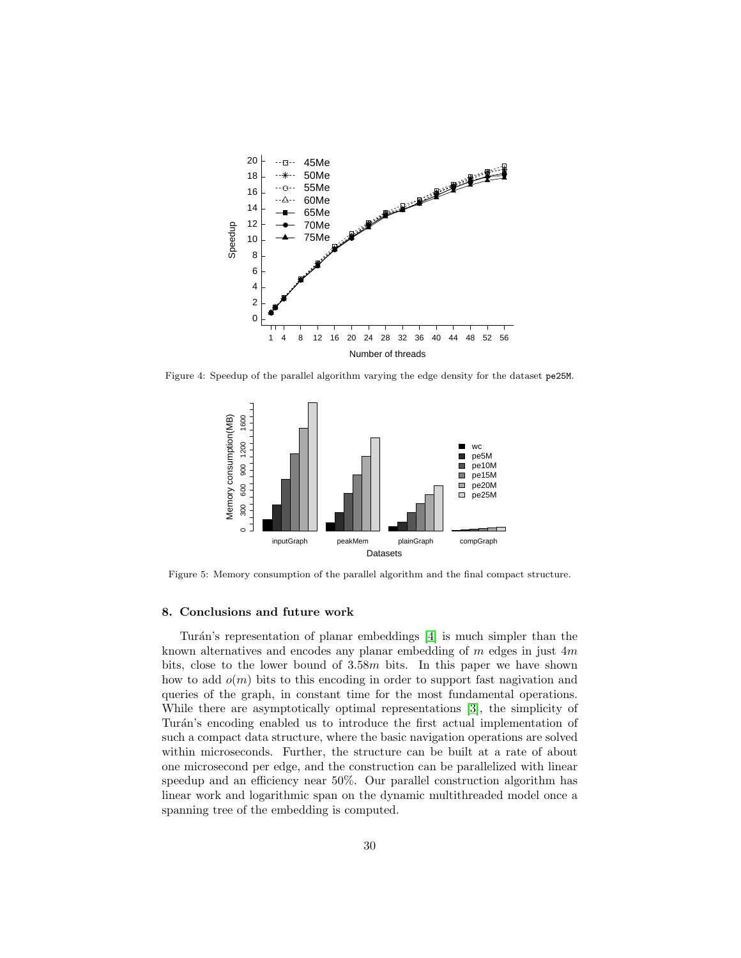<span id="page-29-1"></span>

<span id="page-29-2"></span>Figure 4: Speedup of the parallel algorithm varying the edge density for the dataset pe25M.



Figure 5: Memory consumption of the parallel algorithm and the final compact structure.

#### <span id="page-29-0"></span>8. Conclusions and future work

Turán's representation of planar embeddings [\[4\]](#page-31-3) is much simpler than the known alternatives and encodes any planar embedding of  $m$  edges in just  $4m$ bits, close to the lower bound of 3.58m bits. In this paper we have shown how to add  $o(m)$  bits to this encoding in order to support fast nagivation and queries of the graph, in constant time for the most fundamental operations. While there are asymptotically optimal representations [\[3\]](#page-31-2), the simplicity of Turán's encoding enabled us to introduce the first actual implementation of such a compact data structure, where the basic navigation operations are solved within microseconds. Further, the structure can be built at a rate of about one microsecond per edge, and the construction can be parallelized with linear speedup and an efficiency near 50%. Our parallel construction algorithm has linear work and logarithmic span on the dynamic multithreaded model once a spanning tree of the embedding is computed.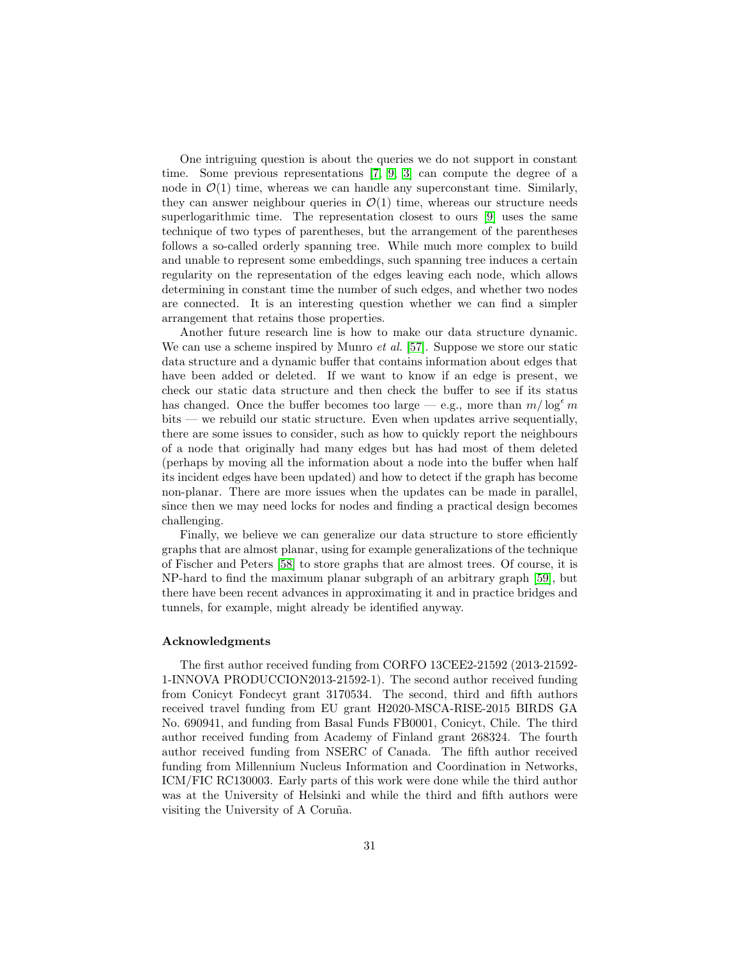One intriguing question is about the queries we do not support in constant time. Some previous representations [\[7,](#page-31-6) [9,](#page-31-8) [3\]](#page-31-2) can compute the degree of a node in  $\mathcal{O}(1)$  time, whereas we can handle any superconstant time. Similarly, they can answer neighbour queries in  $\mathcal{O}(1)$  time, whereas our structure needs superlogarithmic time. The representation closest to ours [\[9\]](#page-31-8) uses the same technique of two types of parentheses, but the arrangement of the parentheses follows a so-called orderly spanning tree. While much more complex to build and unable to represent some embeddings, such spanning tree induces a certain regularity on the representation of the edges leaving each node, which allows determining in constant time the number of such edges, and whether two nodes are connected. It is an interesting question whether we can find a simpler arrangement that retains those properties.

Another future research line is how to make our data structure dynamic. We can use a scheme inspired by Munro *et al.* [\[57\]](#page-35-4). Suppose we store our static data structure and a dynamic buffer that contains information about edges that have been added or deleted. If we want to know if an edge is present, we check our static data structure and then check the buffer to see if its status has changed. Once the buffer becomes too large — e.g., more than  $m/\log^{\epsilon} m$ bits — we rebuild our static structure. Even when updates arrive sequentially, there are some issues to consider, such as how to quickly report the neighbours of a node that originally had many edges but has had most of them deleted (perhaps by moving all the information about a node into the buffer when half its incident edges have been updated) and how to detect if the graph has become non-planar. There are more issues when the updates can be made in parallel, since then we may need locks for nodes and finding a practical design becomes challenging.

Finally, we believe we can generalize our data structure to store efficiently graphs that are almost planar, using for example generalizations of the technique of Fischer and Peters [\[58\]](#page-35-5) to store graphs that are almost trees. Of course, it is NP-hard to find the maximum planar subgraph of an arbitrary graph [\[59\]](#page-35-6), but there have been recent advances in approximating it and in practice bridges and tunnels, for example, might already be identified anyway.

# Acknowledgments

The first author received funding from CORFO 13CEE2-21592 (2013-21592- 1-INNOVA PRODUCCION2013-21592-1). The second author received funding from Conicyt Fondecyt grant 3170534. The second, third and fifth authors received travel funding from EU grant H2020-MSCA-RISE-2015 BIRDS GA No. 690941, and funding from Basal Funds FB0001, Conicyt, Chile. The third author received funding from Academy of Finland grant 268324. The fourth author received funding from NSERC of Canada. The fifth author received funding from Millennium Nucleus Information and Coordination in Networks, ICM/FIC RC130003. Early parts of this work were done while the third author was at the University of Helsinki and while the third and fifth authors were visiting the University of A Coruña.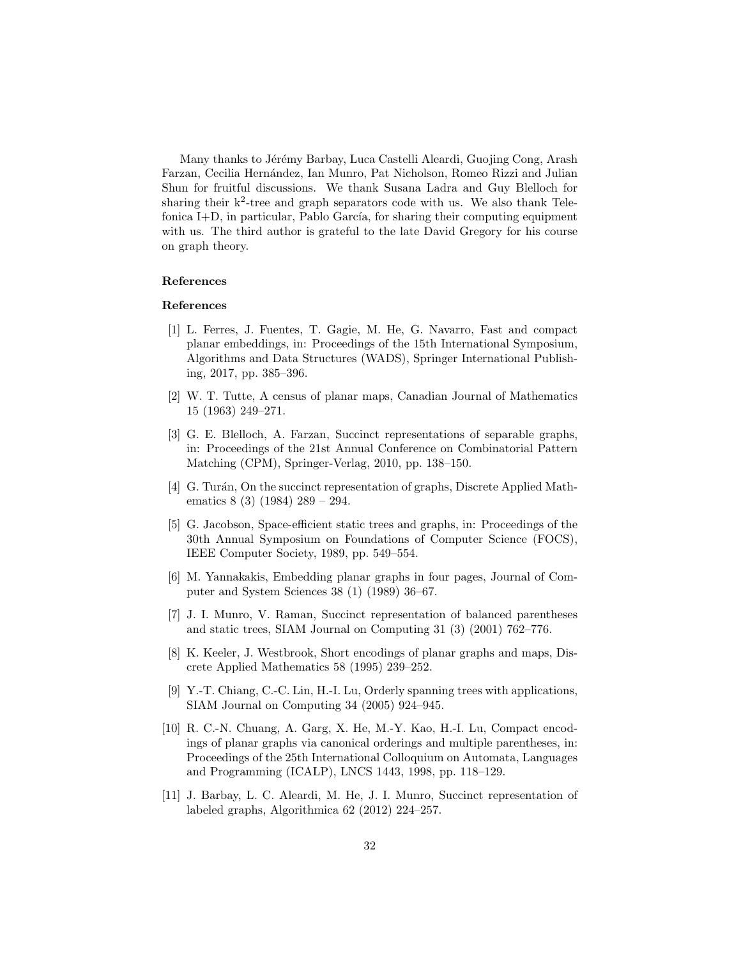Many thanks to Jérémy Barbay, Luca Castelli Aleardi, Guojing Cong, Arash Farzan, Cecilia Hernández, Ian Munro, Pat Nicholson, Romeo Rizzi and Julian Shun for fruitful discussions. We thank Susana Ladra and Guy Blelloch for sharing their  $k^2$ -tree and graph separators code with us. We also thank Telefonica  $I+D$ , in particular, Pablo García, for sharing their computing equipment with us. The third author is grateful to the late David Gregory for his course on graph theory.

# References

#### References

- <span id="page-31-0"></span>[1] L. Ferres, J. Fuentes, T. Gagie, M. He, G. Navarro, Fast and compact planar embeddings, in: Proceedings of the 15th International Symposium, Algorithms and Data Structures (WADS), Springer International Publishing, 2017, pp. 385–396.
- <span id="page-31-1"></span>[2] W. T. Tutte, A census of planar maps, Canadian Journal of Mathematics 15 (1963) 249–271.
- <span id="page-31-2"></span>[3] G. E. Blelloch, A. Farzan, Succinct representations of separable graphs, in: Proceedings of the 21st Annual Conference on Combinatorial Pattern Matching (CPM), Springer-Verlag, 2010, pp. 138–150.
- <span id="page-31-3"></span>[4] G. Turán, On the succinct representation of graphs, Discrete Applied Mathematics 8 (3) (1984) 289 – 294.
- <span id="page-31-4"></span>[5] G. Jacobson, Space-efficient static trees and graphs, in: Proceedings of the 30th Annual Symposium on Foundations of Computer Science (FOCS), IEEE Computer Society, 1989, pp. 549–554.
- <span id="page-31-5"></span>[6] M. Yannakakis, Embedding planar graphs in four pages, Journal of Computer and System Sciences 38 (1) (1989) 36–67.
- <span id="page-31-6"></span>[7] J. I. Munro, V. Raman, Succinct representation of balanced parentheses and static trees, SIAM Journal on Computing 31 (3) (2001) 762–776.
- <span id="page-31-7"></span>[8] K. Keeler, J. Westbrook, Short encodings of planar graphs and maps, Discrete Applied Mathematics 58 (1995) 239–252.
- <span id="page-31-8"></span>[9] Y.-T. Chiang, C.-C. Lin, H.-I. Lu, Orderly spanning trees with applications, SIAM Journal on Computing 34 (2005) 924–945.
- <span id="page-31-9"></span>[10] R. C.-N. Chuang, A. Garg, X. He, M.-Y. Kao, H.-I. Lu, Compact encodings of planar graphs via canonical orderings and multiple parentheses, in: Proceedings of the 25th International Colloquium on Automata, Languages and Programming (ICALP), LNCS 1443, 1998, pp. 118–129.
- <span id="page-31-10"></span>[11] J. Barbay, L. C. Aleardi, M. He, J. I. Munro, Succinct representation of labeled graphs, Algorithmica 62 (2012) 224–257.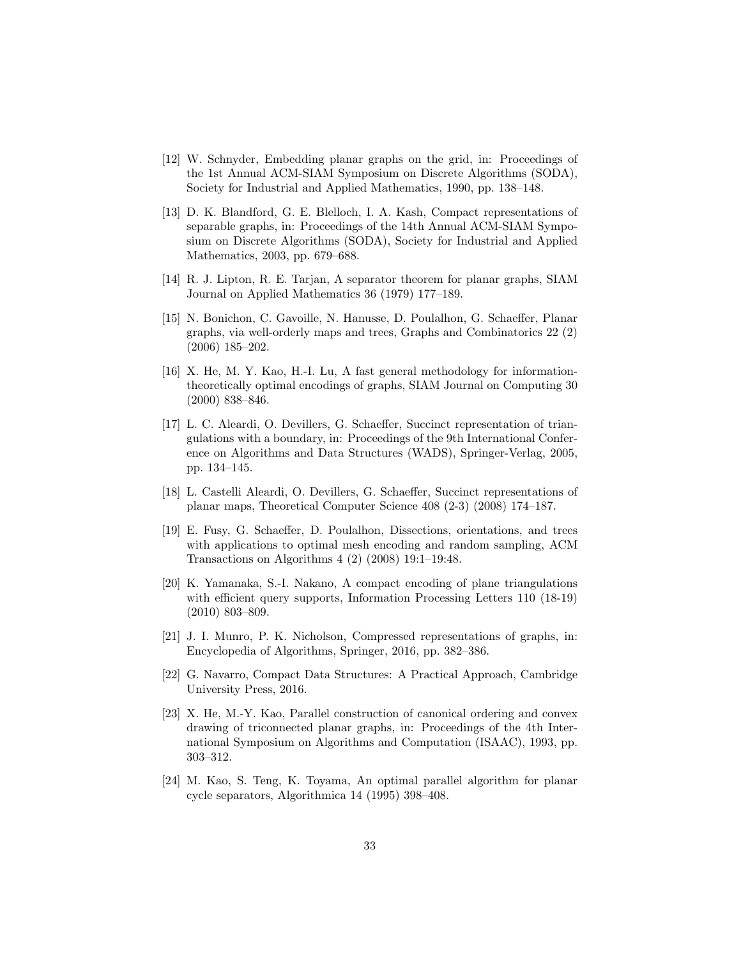- <span id="page-32-0"></span>[12] W. Schnyder, Embedding planar graphs on the grid, in: Proceedings of the 1st Annual ACM-SIAM Symposium on Discrete Algorithms (SODA), Society for Industrial and Applied Mathematics, 1990, pp. 138–148.
- <span id="page-32-1"></span>[13] D. K. Blandford, G. E. Blelloch, I. A. Kash, Compact representations of separable graphs, in: Proceedings of the 14th Annual ACM-SIAM Symposium on Discrete Algorithms (SODA), Society for Industrial and Applied Mathematics, 2003, pp. 679–688.
- <span id="page-32-2"></span>[14] R. J. Lipton, R. E. Tarjan, A separator theorem for planar graphs, SIAM Journal on Applied Mathematics 36 (1979) 177–189.
- <span id="page-32-3"></span>[15] N. Bonichon, C. Gavoille, N. Hanusse, D. Poulalhon, G. Schaeffer, Planar graphs, via well-orderly maps and trees, Graphs and Combinatorics 22 (2) (2006) 185–202.
- <span id="page-32-4"></span>[16] X. He, M. Y. Kao, H.-I. Lu, A fast general methodology for informationtheoretically optimal encodings of graphs, SIAM Journal on Computing 30 (2000) 838–846.
- <span id="page-32-5"></span>[17] L. C. Aleardi, O. Devillers, G. Schaeffer, Succinct representation of triangulations with a boundary, in: Proceedings of the 9th International Conference on Algorithms and Data Structures (WADS), Springer-Verlag, 2005, pp. 134–145.
- <span id="page-32-6"></span>[18] L. Castelli Aleardi, O. Devillers, G. Schaeffer, Succinct representations of planar maps, Theoretical Computer Science 408 (2-3) (2008) 174–187.
- <span id="page-32-7"></span>[19] E. Fusy, G. Schaeffer, D. Poulalhon, Dissections, orientations, and trees with applications to optimal mesh encoding and random sampling, ACM Transactions on Algorithms 4 (2) (2008) 19:1–19:48.
- <span id="page-32-8"></span>[20] K. Yamanaka, S.-I. Nakano, A compact encoding of plane triangulations with efficient query supports, Information Processing Letters 110 (18-19) (2010) 803–809.
- <span id="page-32-9"></span>[21] J. I. Munro, P. K. Nicholson, Compressed representations of graphs, in: Encyclopedia of Algorithms, Springer, 2016, pp. 382–386.
- <span id="page-32-10"></span>[22] G. Navarro, Compact Data Structures: A Practical Approach, Cambridge University Press, 2016.
- <span id="page-32-11"></span>[23] X. He, M.-Y. Kao, Parallel construction of canonical ordering and convex drawing of triconnected planar graphs, in: Proceedings of the 4th International Symposium on Algorithms and Computation (ISAAC), 1993, pp. 303–312.
- <span id="page-32-12"></span>[24] M. Kao, S. Teng, K. Toyama, An optimal parallel algorithm for planar cycle separators, Algorithmica 14 (1995) 398–408.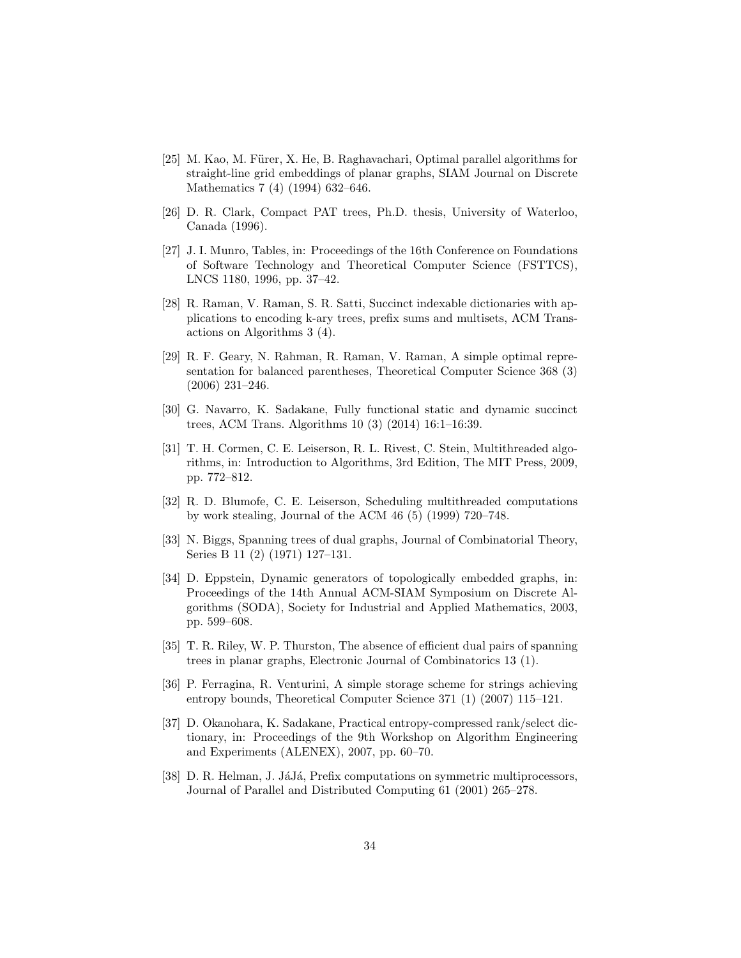- <span id="page-33-0"></span>[25] M. Kao, M. Fürer, X. He, B. Raghavachari, Optimal parallel algorithms for straight-line grid embeddings of planar graphs, SIAM Journal on Discrete Mathematics 7 (4) (1994) 632–646.
- <span id="page-33-1"></span>[26] D. R. Clark, Compact PAT trees, Ph.D. thesis, University of Waterloo, Canada (1996).
- <span id="page-33-2"></span>[27] J. I. Munro, Tables, in: Proceedings of the 16th Conference on Foundations of Software Technology and Theoretical Computer Science (FSTTCS), LNCS 1180, 1996, pp. 37–42.
- <span id="page-33-3"></span>[28] R. Raman, V. Raman, S. R. Satti, Succinct indexable dictionaries with applications to encoding k-ary trees, prefix sums and multisets, ACM Transactions on Algorithms 3 (4).
- <span id="page-33-4"></span>[29] R. F. Geary, N. Rahman, R. Raman, V. Raman, A simple optimal representation for balanced parentheses, Theoretical Computer Science 368 (3) (2006) 231–246.
- <span id="page-33-5"></span>[30] G. Navarro, K. Sadakane, Fully functional static and dynamic succinct trees, ACM Trans. Algorithms 10 (3) (2014) 16:1–16:39.
- <span id="page-33-6"></span>[31] T. H. Cormen, C. E. Leiserson, R. L. Rivest, C. Stein, Multithreaded algorithms, in: Introduction to Algorithms, 3rd Edition, The MIT Press, 2009, pp. 772–812.
- <span id="page-33-7"></span>[32] R. D. Blumofe, C. E. Leiserson, Scheduling multithreaded computations by work stealing, Journal of the ACM 46 (5) (1999) 720–748.
- <span id="page-33-8"></span>[33] N. Biggs, Spanning trees of dual graphs, Journal of Combinatorial Theory, Series B 11 (2) (1971) 127–131.
- <span id="page-33-9"></span>[34] D. Eppstein, Dynamic generators of topologically embedded graphs, in: Proceedings of the 14th Annual ACM-SIAM Symposium on Discrete Algorithms (SODA), Society for Industrial and Applied Mathematics, 2003, pp. 599–608.
- <span id="page-33-10"></span>[35] T. R. Riley, W. P. Thurston, The absence of efficient dual pairs of spanning trees in planar graphs, Electronic Journal of Combinatorics 13 (1).
- <span id="page-33-11"></span>[36] P. Ferragina, R. Venturini, A simple storage scheme for strings achieving entropy bounds, Theoretical Computer Science 371 (1) (2007) 115–121.
- <span id="page-33-12"></span>[37] D. Okanohara, K. Sadakane, Practical entropy-compressed rank/select dictionary, in: Proceedings of the 9th Workshop on Algorithm Engineering and Experiments (ALENEX), 2007, pp. 60–70.
- <span id="page-33-13"></span>[38] D. R. Helman, J. JáJá, Prefix computations on symmetric multiprocessors, Journal of Parallel and Distributed Computing 61 (2001) 265–278.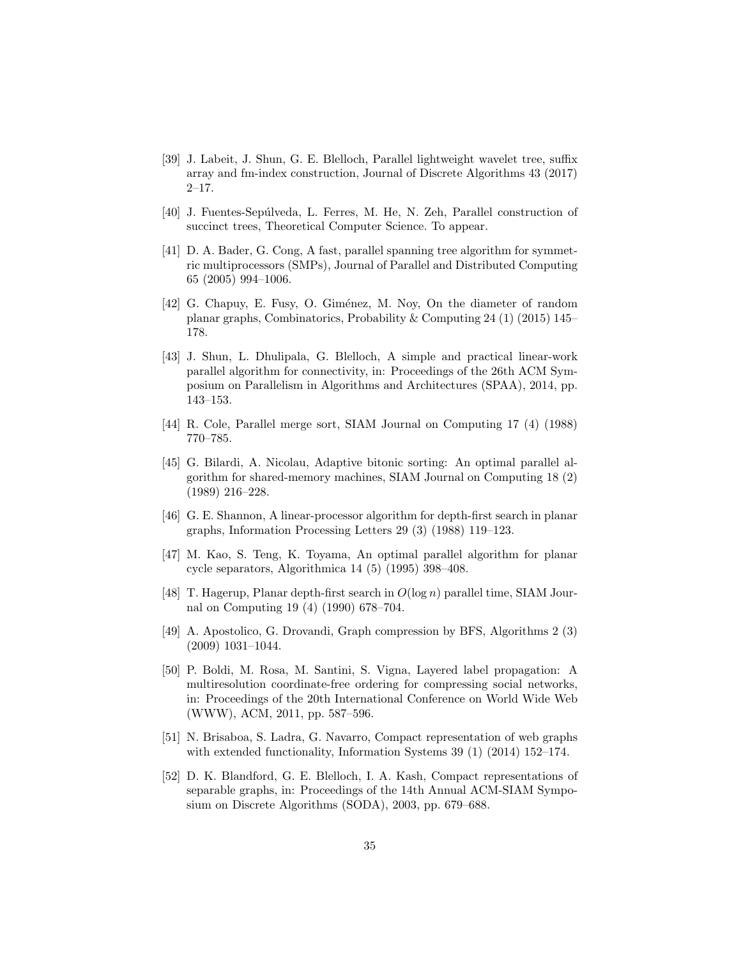- <span id="page-34-0"></span>[39] J. Labeit, J. Shun, G. E. Blelloch, Parallel lightweight wavelet tree, suffix array and fm-index construction, Journal of Discrete Algorithms 43 (2017) 2–17.
- <span id="page-34-1"></span>[40] J. Fuentes-Sepúlveda, L. Ferres, M. He, N. Zeh, Parallel construction of succinct trees, Theoretical Computer Science. To appear.
- <span id="page-34-2"></span>[41] D. A. Bader, G. Cong, A fast, parallel spanning tree algorithm for symmetric multiprocessors (SMPs), Journal of Parallel and Distributed Computing 65 (2005) 994–1006.
- <span id="page-34-3"></span>[42] G. Chapuy, E. Fusy, O. Giménez, M. Noy, On the diameter of random planar graphs, Combinatorics, Probability & Computing 24 (1) (2015) 145– 178.
- <span id="page-34-4"></span>[43] J. Shun, L. Dhulipala, G. Blelloch, A simple and practical linear-work parallel algorithm for connectivity, in: Proceedings of the 26th ACM Symposium on Parallelism in Algorithms and Architectures (SPAA), 2014, pp. 143–153.
- <span id="page-34-5"></span>[44] R. Cole, Parallel merge sort, SIAM Journal on Computing 17 (4) (1988) 770–785.
- <span id="page-34-6"></span>[45] G. Bilardi, A. Nicolau, Adaptive bitonic sorting: An optimal parallel algorithm for shared-memory machines, SIAM Journal on Computing 18 (2) (1989) 216–228.
- <span id="page-34-7"></span>[46] G. E. Shannon, A linear-processor algorithm for depth-first search in planar graphs, Information Processing Letters 29 (3) (1988) 119–123.
- <span id="page-34-8"></span>[47] M. Kao, S. Teng, K. Toyama, An optimal parallel algorithm for planar cycle separators, Algorithmica 14 (5) (1995) 398–408.
- <span id="page-34-9"></span>[48] T. Hagerup, Planar depth-first search in  $O(\log n)$  parallel time, SIAM Journal on Computing 19 (4) (1990) 678–704.
- <span id="page-34-10"></span>[49] A. Apostolico, G. Drovandi, Graph compression by BFS, Algorithms 2 (3) (2009) 1031–1044.
- <span id="page-34-11"></span>[50] P. Boldi, M. Rosa, M. Santini, S. Vigna, Layered label propagation: A multiresolution coordinate-free ordering for compressing social networks, in: Proceedings of the 20th International Conference on World Wide Web (WWW), ACM, 2011, pp. 587–596.
- <span id="page-34-12"></span>[51] N. Brisaboa, S. Ladra, G. Navarro, Compact representation of web graphs with extended functionality, Information Systems 39 (1) (2014) 152–174.
- <span id="page-34-13"></span>[52] D. K. Blandford, G. E. Blelloch, I. A. Kash, Compact representations of separable graphs, in: Proceedings of the 14th Annual ACM-SIAM Symposium on Discrete Algorithms (SODA), 2003, pp. 679–688.